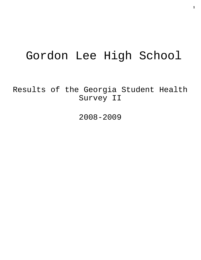# Gordon Lee High School

Results of the Georgia Student Health Survey II

2008-2009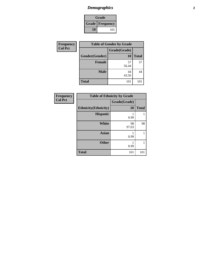### *Demographics* **2**

| Grade |                        |  |  |
|-------|------------------------|--|--|
|       | <b>Grade</b> Frequency |  |  |
| 10    | 101                    |  |  |

| Frequency      | <b>Table of Gender by Grade</b> |              |              |
|----------------|---------------------------------|--------------|--------------|
| <b>Col Pct</b> |                                 | Grade(Grade) |              |
|                | Gender(Gender)                  | 10           | <b>Total</b> |
|                | <b>Female</b>                   | 57<br>56.44  | 57           |
|                | <b>Male</b>                     | 44<br>43.56  | 44           |
|                | <b>Total</b>                    | 101          | 101          |

| <b>Frequency</b> |                              | <b>Table of Ethnicity by Grade</b> |              |
|------------------|------------------------------|------------------------------------|--------------|
| <b>Col Pct</b>   |                              | Grade(Grade)                       |              |
|                  | <b>Ethnicity</b> (Ethnicity) | <b>10</b>                          | <b>Total</b> |
|                  | <b>Hispanic</b>              | 0.99                               |              |
|                  | <b>White</b>                 | 98<br>97.03                        | 98           |
|                  | <b>Asian</b>                 | 0.99                               | 1            |
|                  | <b>Other</b>                 | 0.99                               |              |
|                  | <b>Total</b>                 | 101                                | 101          |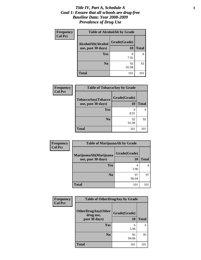#### *Title IV, Part A, Schedule A* **3** *Goal 1: Ensure that all schools are drug-free Baseline Data: Year 2008-2009 Prevalence of Drug Use*

| <b>Frequency</b> | <b>Table of AlcoholAlt by Grade</b> |              |              |
|------------------|-------------------------------------|--------------|--------------|
| <b>Col Pct</b>   | AlcoholAlt(Alcohol                  | Grade(Grade) |              |
|                  | use, past 30 days)                  | 10           | <b>Total</b> |
|                  | <b>Yes</b>                          | 8<br>7.92    | 8            |
|                  | N <sub>0</sub>                      | 93<br>92.08  | 93           |
|                  | <b>Total</b>                        | 101          | 101          |

| Frequency<br><b>Col Pct</b> | <b>Table of TobaccoAny by Grade</b>      |                    |              |
|-----------------------------|------------------------------------------|--------------------|--------------|
|                             | TobaccoAny(Tobacco<br>use, past 30 days) | Grade(Grade)<br>10 | <b>Total</b> |
|                             | Yes                                      | q<br>8.91          | 9            |
|                             | N <sub>0</sub>                           | 92<br>91.09        | 92           |
|                             | <b>Total</b>                             | 101                | 101          |

| <b>Frequency</b> | <b>Table of MarijuanaAlt by Grade</b> |              |              |
|------------------|---------------------------------------|--------------|--------------|
| <b>Col Pct</b>   | MarijuanaAlt(Marijuana                | Grade(Grade) |              |
|                  | use, past 30 days)                    | 10           | <b>Total</b> |
|                  | Yes                                   |              |              |
|                  |                                       | 3.96         |              |
|                  | N <sub>0</sub>                        | 97           | 97           |
|                  |                                       | 96.04        |              |
|                  | <b>Total</b>                          | 101          | 101          |

| Frequency      | <b>Table of OtherDrugAny by Grade</b>                   |                    |              |
|----------------|---------------------------------------------------------|--------------------|--------------|
| <b>Col Pct</b> | <b>OtherDrugAny(Other</b><br>drug use,<br>past 30 days) | Grade(Grade)<br>10 | <b>Total</b> |
|                | Yes                                                     | 6<br>5.94          | 6            |
|                | N <sub>0</sub>                                          | 95<br>94.06        | 95           |
|                | <b>Total</b>                                            | 101                | 101          |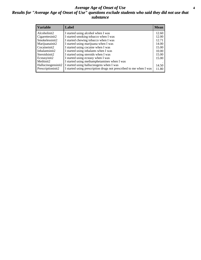#### *Average Age of Onset of Use* **4** *Results for "Average Age of Onset of Use" questions exclude students who said they did not use that substance*

| <b>Variable</b>       | Label                                                              | <b>Mean</b> |
|-----------------------|--------------------------------------------------------------------|-------------|
| Alcoholinit2          | I started using alcohol when I was                                 | 12.60       |
| Cigarettesinit2       | I started smoking tobacco when I was                               | 12.00       |
| Smokelessinit2        | I started chewing tobacco when I was                               | 12.71       |
| Marijuanainit2        | I started using marijuana when I was                               | 14.00       |
| Cocaineinit2          | I started using cocaine when I was                                 | 15.00       |
| Inhalantsinit2        | I started using inhalants when I was                               | 10.00       |
| Steroidsinit2         | I started using steroids when I was                                | 15.00       |
| Ecstasyinit2          | I started using ecstasy when I was                                 | 15.00       |
| Methinit <sub>2</sub> | I started using methamphetamines when I was                        |             |
| Hallucinogensinit2    | I started using hallucinogens when I was                           | 14.50       |
| Prescriptioninit2     | I started using prescription drugs not prescribed to me when I was | 11.80       |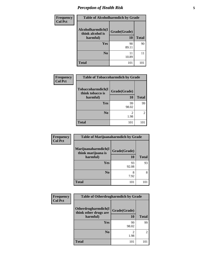## *Perception of Health Risk* **5**

| <b>Frequency</b> | <b>Table of Alcoholharmdich by Grade</b> |              |              |
|------------------|------------------------------------------|--------------|--------------|
| <b>Col Pct</b>   | Alcoholharmdich(I<br>think alcohol is    | Grade(Grade) |              |
|                  | harmful)                                 | 10           | <b>Total</b> |
|                  | Yes                                      | 90           | 90           |
|                  |                                          | 89.11        |              |
|                  | N <sub>0</sub>                           | 11<br>10.89  | 11           |
|                  | <b>Total</b>                             | 101          | 101          |

| <b>Frequency</b> | <b>Table of Tobaccoharmdich by Grade</b>          |                    |               |
|------------------|---------------------------------------------------|--------------------|---------------|
| <b>Col Pct</b>   | Tobaccoharmdich(I<br>think tobacco is<br>harmful) | Grade(Grade)<br>10 | <b>Total</b>  |
|                  | Yes                                               | 99<br>98.02        | 99            |
|                  | N <sub>0</sub>                                    | 2<br>1.98          | $\mathcal{L}$ |
|                  | <b>Total</b>                                      | 101                | 101           |

| <b>Frequency</b> | <b>Table of Marijuanaharmdich by Grade</b> |              |              |
|------------------|--------------------------------------------|--------------|--------------|
| <b>Col Pct</b>   | Marijuanaharmdich(I<br>think marijuana is  | Grade(Grade) |              |
|                  | harmful)                                   | <b>10</b>    | <b>Total</b> |
|                  | Yes                                        | 93<br>92.08  | 93           |
|                  | N <sub>0</sub>                             | 8<br>7.92    | 8            |
|                  | <b>Total</b>                               | 101          | 101          |

| Frequency      | <b>Table of Otherdrugharmdich by Grade</b>   |              |                |
|----------------|----------------------------------------------|--------------|----------------|
| <b>Col Pct</b> | Otherdrugharmdich(I<br>think other drugs are | Grade(Grade) |                |
|                | harmful)                                     | 10           | <b>Total</b>   |
|                | Yes                                          | 99<br>98.02  | 99             |
|                | N <sub>0</sub>                               | 2<br>1.98    | $\mathfrak{D}$ |
|                | <b>Total</b>                                 | 101          | 101            |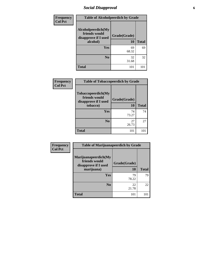### *Social Disapproval* **6**

| <b>Frequency</b> | <b>Table of Alcoholpeerdich by Grade</b>                                |                    |              |  |  |
|------------------|-------------------------------------------------------------------------|--------------------|--------------|--|--|
| <b>Col Pct</b>   | Alcoholpeerdich(My<br>friends would<br>disapprove if I used<br>alcohol) | Grade(Grade)<br>10 | <b>Total</b> |  |  |
|                  | Yes                                                                     | 69<br>68.32        | 69           |  |  |
|                  | N <sub>0</sub>                                                          | 32<br>31.68        | 32           |  |  |
|                  | <b>Total</b>                                                            | 101                | 101          |  |  |

| Frequency      | <b>Table of Tobaccopeerdich by Grade</b>                            |              |              |
|----------------|---------------------------------------------------------------------|--------------|--------------|
| <b>Col Pct</b> | <b>Tobaccopeerdich</b> (My<br>friends would<br>disapprove if I used | Grade(Grade) |              |
|                | tobacco)                                                            | 10           | <b>Total</b> |
|                | Yes                                                                 | 74<br>73.27  | 74           |
|                | N <sub>0</sub>                                                      | 27<br>26.73  | 27           |
|                | <b>Total</b>                                                        | 101          | 101          |

| Frequency      | <b>Table of Marijuanapeerdich by Grade</b>                    |              |              |  |  |
|----------------|---------------------------------------------------------------|--------------|--------------|--|--|
| <b>Col Pct</b> | Marijuanapeerdich(My<br>friends would<br>disapprove if I used | Grade(Grade) |              |  |  |
|                | marijuana)                                                    | <b>10</b>    | <b>Total</b> |  |  |
|                | <b>Yes</b>                                                    | 79<br>78.22  | 79           |  |  |
|                | N <sub>0</sub>                                                | 22<br>21.78  | 22           |  |  |
|                | <b>Total</b>                                                  | 101          | 101          |  |  |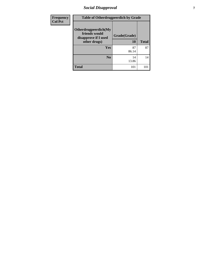### *Social Disapproval* **7**

| <b>Frequency</b> | <b>Table of Otherdrugpeerdich by Grade</b>                    |              |              |  |  |  |
|------------------|---------------------------------------------------------------|--------------|--------------|--|--|--|
| <b>Col Pct</b>   | Otherdrugpeerdich(My<br>friends would<br>disapprove if I used | Grade(Grade) |              |  |  |  |
|                  | other drugs)                                                  | 10           | <b>Total</b> |  |  |  |
|                  | <b>Yes</b>                                                    | 87<br>86.14  | 87           |  |  |  |
|                  | N <sub>o</sub>                                                | 14<br>13.86  | 14           |  |  |  |
|                  | <b>Total</b>                                                  | 101          | 101          |  |  |  |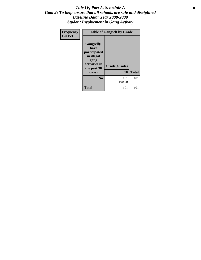#### Title IV, Part A, Schedule A **8** *Goal 2: To help ensure that all schools are safe and disciplined Baseline Data: Year 2008-2009 Student Involvement in Gang Activity*

| Frequency      | <b>Table of Gangself by Grade</b>                                                                |               |              |  |  |
|----------------|--------------------------------------------------------------------------------------------------|---------------|--------------|--|--|
| <b>Col Pct</b> | <b>Gangself</b> (I<br>have<br>participated<br>in illegal<br>gang<br>activities in<br>the past 30 | Grade(Grade)  |              |  |  |
|                | days)                                                                                            | 10            | <b>Total</b> |  |  |
|                | N <sub>0</sub>                                                                                   | 101<br>100.00 | 101          |  |  |
|                | <b>Total</b>                                                                                     | 101           | 101          |  |  |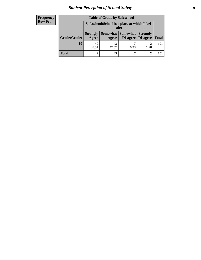### *Student Perception of School Safety* **9**

| <b>Frequency</b><br>Row Pct |
|-----------------------------|
|                             |

| <b>Table of Grade by Safeschool</b> |                                                        |             |                     |                                        |              |
|-------------------------------------|--------------------------------------------------------|-------------|---------------------|----------------------------------------|--------------|
|                                     | Safeschool (School is a place at which I feel<br>safe) |             |                     |                                        |              |
| Grade(Grade)                        | <b>Strongly</b><br>Agree                               | Agree       | Somewhat   Somewhat | <b>Strongly</b><br>Disagree   Disagree | <b>Total</b> |
| 10                                  | 49<br>48.51                                            | 43<br>42.57 | 6.93                | 1.98                                   | 101          |
| <b>Total</b>                        | 49                                                     | 43          | ┑                   | 2                                      | 101          |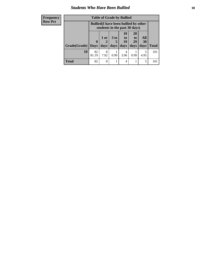#### *Students Who Have Been Bullied* **10**

| <b>Frequency</b> | <b>Table of Grade by Bullied</b> |                                                                               |           |        |                 |                 |            |              |
|------------------|----------------------------------|-------------------------------------------------------------------------------|-----------|--------|-----------------|-----------------|------------|--------------|
| <b>Row Pct</b>   |                                  | <b>Bullied</b> (I have been bullied by other<br>students in the past 30 days) |           |        |                 |                 |            |              |
|                  |                                  |                                                                               | $1$ or    | $3$ to | <b>10</b><br>to | <b>20</b><br>to | All        |              |
|                  | Grade(Grade)   Days              | $\mathbf{0}$                                                                  | 2<br>days | days   | 19<br>days      | 29<br>days      | 30<br>days | <b>Total</b> |
|                  | 10                               | 82<br>81.19                                                                   | 8<br>7.92 | 0.99   | 4<br>3.96       | 0.99            | 5<br>4.95  | 101          |
|                  | <b>Total</b>                     | 82                                                                            | 8         |        | $\overline{4}$  |                 | 5          | 101          |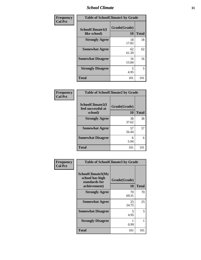#### *School Climate* **11**

| Frequency      | <b>Table of SchoolClimate1 by Grade</b> |                    |              |  |
|----------------|-----------------------------------------|--------------------|--------------|--|
| <b>Col Pct</b> | SchoolClimate1(I<br>like school)        | Grade(Grade)<br>10 | <b>Total</b> |  |
|                | <b>Strongly Agree</b>                   | 18<br>17.82        | 18           |  |
|                | <b>Somewhat Agree</b>                   | 62<br>61.39        | 62           |  |
|                | <b>Somewhat Disagree</b>                | 16<br>15.84        | 16           |  |
|                | <b>Strongly Disagree</b>                | 5<br>4.95          | 5            |  |
|                | <b>Total</b>                            | 101                | 101          |  |

| <b>Table of SchoolClimate2 by Grade</b>           |                    |              |  |  |
|---------------------------------------------------|--------------------|--------------|--|--|
| SchoolClimate2(I<br>feel successful at<br>school) | Grade(Grade)<br>10 | <b>Total</b> |  |  |
| <b>Strongly Agree</b>                             | 38<br>37.62        | 38           |  |  |
| <b>Somewhat Agree</b>                             | 57<br>56.44        | 57           |  |  |
| <b>Somewhat Disagree</b>                          | 6<br>5.94          | 6            |  |  |
| <b>Total</b>                                      | 101                | 101          |  |  |

| <b>Frequency</b> | <b>Table of SchoolClimate3 by Grade</b>                               |                    |              |
|------------------|-----------------------------------------------------------------------|--------------------|--------------|
| <b>Col Pct</b>   | SchoolClimate3(My<br>school has high<br>standards for<br>achievement) | Grade(Grade)<br>10 | <b>Total</b> |
|                  | <b>Strongly Agree</b>                                                 | 70<br>69.31        | 70           |
|                  | <b>Somewhat Agree</b>                                                 | 25<br>24.75        | 25           |
|                  | <b>Somewhat Disagree</b>                                              | 5<br>4.95          | 5            |
|                  | <b>Strongly Disagree</b>                                              | 0.99               |              |
|                  | <b>Total</b>                                                          | 101                | 101          |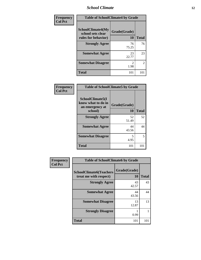### *School Climate* **12**

| Frequency      | <b>Table of SchoolClimate4 by Grade</b>                       |                    |                |  |
|----------------|---------------------------------------------------------------|--------------------|----------------|--|
| <b>Col Pct</b> | SchoolClimate4(My<br>school sets clear<br>rules for behavior) | Grade(Grade)<br>10 | <b>Total</b>   |  |
|                | <b>Strongly Agree</b>                                         | 76<br>75.25        | 76             |  |
|                | <b>Somewhat Agree</b>                                         | 23<br>22.77        | 23             |  |
|                | <b>Somewhat Disagree</b>                                      | 2<br>1.98          | $\overline{c}$ |  |
|                | <b>Total</b>                                                  | 101                | 101            |  |

| Frequency      | <b>Table of SchoolClimate5 by Grade</b>                              |                    |              |  |  |
|----------------|----------------------------------------------------------------------|--------------------|--------------|--|--|
| <b>Col Pct</b> | SchoolClimate5(I<br>know what to do in<br>an emergency at<br>school) | Grade(Grade)<br>10 | <b>Total</b> |  |  |
|                | <b>Strongly Agree</b>                                                | 52<br>51.49        | 52           |  |  |
|                | <b>Somewhat Agree</b>                                                | 44<br>43.56        | 44           |  |  |
|                | <b>Somewhat Disagree</b>                                             | 5<br>4.95          | 5            |  |  |
|                | <b>Total</b>                                                         | 101                | 101          |  |  |

| <b>Frequency</b> | <b>Table of SchoolClimate6 by Grade</b>                  |                    |              |  |  |
|------------------|----------------------------------------------------------|--------------------|--------------|--|--|
| <b>Col Pct</b>   | <b>SchoolClimate6(Teachers</b><br>treat me with respect) | Grade(Grade)<br>10 | <b>Total</b> |  |  |
|                  | <b>Strongly Agree</b>                                    | 43<br>42.57        | 43           |  |  |
|                  | <b>Somewhat Agree</b>                                    | 44<br>43.56        | 44           |  |  |
|                  | <b>Somewhat Disagree</b>                                 | 13<br>12.87        | 13           |  |  |
|                  | <b>Strongly Disagree</b>                                 | 0.99               |              |  |  |
|                  | <b>Total</b>                                             | 101                | 101          |  |  |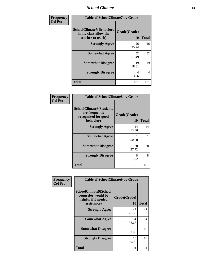*School Climate* **13**

| <b>Frequency</b> | <b>Table of SchoolClimate7 by Grade</b>                                       |                           |                |  |  |
|------------------|-------------------------------------------------------------------------------|---------------------------|----------------|--|--|
| <b>Col Pct</b>   | <b>SchoolClimate7(Behaviors</b><br>in my class allow the<br>teacher to teach) | Grade(Grade)<br><b>10</b> | <b>Total</b>   |  |  |
|                  | <b>Strongly Agree</b>                                                         | 26<br>25.74               | 26             |  |  |
|                  | <b>Somewhat Agree</b>                                                         | 52<br>51.49               | 52             |  |  |
|                  | <b>Somewhat Disagree</b>                                                      | 19<br>18.81               | 19             |  |  |
|                  | <b>Strongly Disagree</b>                                                      | 4<br>3.96                 | $\overline{4}$ |  |  |
|                  | <b>Total</b>                                                                  | 101                       | 101            |  |  |

| Frequency      | <b>Table of SchoolClimate8 by Grade</b>                                              |                    |              |  |
|----------------|--------------------------------------------------------------------------------------|--------------------|--------------|--|
| <b>Col Pct</b> | <b>SchoolClimate8(Students</b><br>are frequently<br>recognized for good<br>behavior) | Grade(Grade)<br>10 | <b>Total</b> |  |
|                | <b>Strongly Agree</b>                                                                | 14<br>13.86        | 14           |  |
|                | <b>Somewhat Agree</b>                                                                | 51<br>50.50        | 51           |  |
|                | <b>Somewhat Disagree</b>                                                             | 28<br>27.72        | 28           |  |
|                | <b>Strongly Disagree</b>                                                             | 8<br>7.92          | 8            |  |
|                | Total                                                                                | 101                | 101          |  |

| Frequency      | <b>Table of SchoolClimate9 by Grade</b>                                           |                    |              |  |  |
|----------------|-----------------------------------------------------------------------------------|--------------------|--------------|--|--|
| <b>Col Pct</b> | SchoolClimate9(School<br>counselor would be<br>helpful if I needed<br>assistance) | Grade(Grade)<br>10 | <b>Total</b> |  |  |
|                | <b>Strongly Agree</b>                                                             | 47<br>46.53        | 47           |  |  |
|                | <b>Somewhat Agree</b>                                                             | 34<br>33.66        | 34           |  |  |
|                | <b>Somewhat Disagree</b>                                                          | 10<br>9.90         | 10           |  |  |
|                | <b>Strongly Disagree</b>                                                          | 10<br>9.90         | 10           |  |  |
|                | Total                                                                             | 101                | 101          |  |  |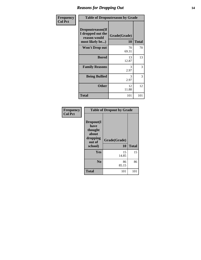### *Reasons for Dropping Out* **14**

| Frequency<br><b>Col Pct</b> | <b>Table of Dropoutreason by Grade</b>                                   |                           |              |  |  |
|-----------------------------|--------------------------------------------------------------------------|---------------------------|--------------|--|--|
|                             | Dropoutreason(If<br>I dropped out the<br>reason would<br>most likely be) | Grade(Grade)<br><b>10</b> | <b>Total</b> |  |  |
|                             | Won't Drop out                                                           | 70<br>69.31               | 70           |  |  |
|                             | <b>Bored</b>                                                             | 13<br>12.87               | 13           |  |  |
|                             | <b>Family Reasons</b>                                                    | 3<br>2.97                 | 3            |  |  |
|                             | <b>Being Bullied</b>                                                     | 3<br>2.97                 | 3            |  |  |
|                             | <b>Other</b>                                                             | 12<br>11.88               | 12           |  |  |
|                             | <b>Total</b>                                                             | 101                       | 101          |  |  |

| Frequency      |                                                                        | <b>Table of Dropout by Grade</b> |              |  |  |
|----------------|------------------------------------------------------------------------|----------------------------------|--------------|--|--|
| <b>Col Pct</b> | Dropout(I<br>have<br>thought<br>about<br>dropping<br>out of<br>school) | Grade(Grade)<br>10               | <b>Total</b> |  |  |
|                | Yes                                                                    | 15<br>14.85                      | 15           |  |  |
|                | N <sub>0</sub>                                                         | 86<br>85.15                      | 86           |  |  |
|                | <b>Total</b>                                                           | 101                              | 101          |  |  |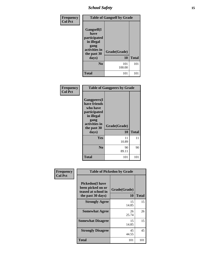### *School Safety* **15**

| Frequency<br><b>Col Pct</b> | <b>Table of Gangself by Grade</b>                                                                |               |              |  |  |  |
|-----------------------------|--------------------------------------------------------------------------------------------------|---------------|--------------|--|--|--|
|                             | <b>Gangself</b> (I<br>have<br>participated<br>in illegal<br>gang<br>activities in<br>the past 30 | Grade(Grade)  |              |  |  |  |
|                             | days)                                                                                            | 10            | <b>Total</b> |  |  |  |
|                             | $\bf No$                                                                                         | 101<br>100.00 | 101          |  |  |  |
|                             | <b>Total</b>                                                                                     | 101           | 101          |  |  |  |

| Frequency<br><b>Col Pct</b> | <b>Table of Gangpeers by Grade</b>                                                                                             |                    |              |  |  |
|-----------------------------|--------------------------------------------------------------------------------------------------------------------------------|--------------------|--------------|--|--|
|                             | <b>Gangpeers</b> (I<br>have friends<br>who have<br>participated<br>in illegal<br>gang<br>activities in<br>the past 30<br>days) | Grade(Grade)<br>10 | <b>Total</b> |  |  |
|                             | Yes                                                                                                                            | 11<br>10.89        | 11           |  |  |
|                             | N <sub>0</sub>                                                                                                                 | 90<br>89.11        | 90           |  |  |
|                             | Total                                                                                                                          | 101                | 101          |  |  |

| Frequency      | <b>Table of Pickedon by Grade</b>                                                        |                    |              |  |  |
|----------------|------------------------------------------------------------------------------------------|--------------------|--------------|--|--|
| <b>Col Pct</b> | <b>Pickedon</b> (I have<br>been picked on or<br>teased at school in<br>the past 30 days) | Grade(Grade)<br>10 | <b>Total</b> |  |  |
|                | <b>Strongly Agree</b>                                                                    | 15<br>14.85        | 15           |  |  |
|                | <b>Somewhat Agree</b>                                                                    | 26<br>25.74        | 26           |  |  |
|                | <b>Somewhat Disagree</b>                                                                 | 15<br>14.85        | 15           |  |  |
|                | <b>Strongly Disagree</b>                                                                 | 45<br>44.55        | 45           |  |  |
|                | Total                                                                                    | 101                | 101          |  |  |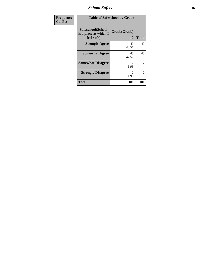*School Safety* **16**

| <b>Frequency</b> | <b>Table of Safeschool by Grade</b>                      |                       |                |  |  |
|------------------|----------------------------------------------------------|-----------------------|----------------|--|--|
| <b>Col Pct</b>   | Safeschool(School<br>is a place at which I<br>feel safe) | Grade(Grade)<br>10    | <b>Total</b>   |  |  |
|                  | <b>Strongly Agree</b>                                    | 49<br>48.51           | 49             |  |  |
|                  | <b>Somewhat Agree</b>                                    | 43<br>42.57           | 43             |  |  |
|                  | <b>Somewhat Disagree</b>                                 | 6.93                  | 7              |  |  |
|                  | <b>Strongly Disagree</b>                                 | $\mathcal{D}$<br>1.98 | $\mathfrak{D}$ |  |  |
|                  | <b>Total</b>                                             | 101                   | 101            |  |  |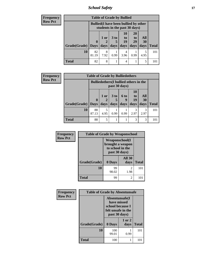*School Safety* **17**

| <b>Frequency</b> | <b>Table of Grade by Bullied</b> |                  |                                                                               |                              |                                                                     |                                           |                   |              |
|------------------|----------------------------------|------------------|-------------------------------------------------------------------------------|------------------------------|---------------------------------------------------------------------|-------------------------------------------|-------------------|--------------|
| <b>Row Pct</b>   |                                  |                  | <b>Bullied</b> (I have been bullied by other<br>students in the past 30 days) |                              |                                                                     |                                           |                   |              |
|                  | Grade(Grade)                     | 0<br><b>Days</b> | 1 or<br>days                                                                  | 3 <sub>to</sub><br>5<br>days | 10<br>$\mathbf{t}$ <sup><math>\mathbf{0}</math></sup><br>19<br>days | <b>20</b><br>t <sub>0</sub><br>29<br>days | All<br>30<br>days | <b>Total</b> |
|                  | 10                               | 82<br>81.19      | 8<br>7.92                                                                     | 0.99                         | 4<br>3.96                                                           | 0.99                                      | 5<br>4.95         | 101          |
|                  | <b>Total</b>                     | 82               | 8                                                                             |                              | 4                                                                   |                                           | 5                 | 101          |

| <b>Frequency</b> |                     | <b>Table of Grade by Bulliedothers</b> |                   |                         |                                                                |                               |                   |              |
|------------------|---------------------|----------------------------------------|-------------------|-------------------------|----------------------------------------------------------------|-------------------------------|-------------------|--------------|
| <b>Row Pct</b>   |                     |                                        |                   |                         | <b>Bulliedothers</b> (I bullied others in the<br>past 30 days) |                               |                   |              |
|                  | Grade(Grade)   Days | $\bf{0}$                               | 1 or<br>2<br>days | 3 <sub>to</sub><br>days | <b>6 to</b><br>9<br>days                                       | <b>10</b><br>to<br>19<br>days | All<br>30<br>days | <b>Total</b> |
|                  | 10                  | 88<br>87.13                            | 5<br>4.95         | 0.99                    | 0.99                                                           | 3<br>2.97                     | 3<br>2.97         | 101          |
|                  | <b>Total</b>        | 88                                     | 5                 |                         |                                                                | 3                             | 3                 | 101          |

| Frequency      | <b>Table of Grade by Weaponschool</b> |                                                                                 |                        |              |  |  |
|----------------|---------------------------------------|---------------------------------------------------------------------------------|------------------------|--------------|--|--|
| <b>Row Pct</b> |                                       | <b>Weaponschool</b> (I<br>brought a weapon<br>to school in the<br>past 30 days) |                        |              |  |  |
|                | Grade(Grade)                          | 0 Days                                                                          | <b>All 30</b><br>days  | <b>Total</b> |  |  |
|                | 10                                    | 99<br>98.02                                                                     | $\overline{c}$<br>1.98 | 101          |  |  |
|                | <b>Total</b>                          | 99                                                                              | $\mathcal{L}$          | 101          |  |  |

| Frequency      | <b>Table of Grade by Absentunsafe</b> |              |                                                                                           |              |  |
|----------------|---------------------------------------|--------------|-------------------------------------------------------------------------------------------|--------------|--|
| <b>Row Pct</b> |                                       |              | Absentunsafe(I)<br>have missed<br>school because I<br>felt unsafe in the<br>past 30 days) |              |  |
|                | Grade(Grade)                          | 0 Days       | 1 or 2<br>days                                                                            | <b>Total</b> |  |
|                | 10                                    | 100<br>99.01 | 0.99                                                                                      | 101          |  |
|                | <b>Total</b>                          | 100          |                                                                                           | 101          |  |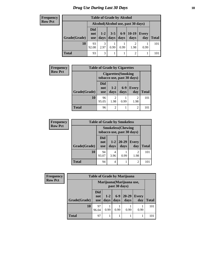### *Drug Use During Last 30 Days* **18**

#### **Frequency Row Pct**

| <b>Table of Grade by Alcohol</b> |                          |                                    |                 |               |                 |              |       |  |  |
|----------------------------------|--------------------------|------------------------------------|-----------------|---------------|-----------------|--------------|-------|--|--|
|                                  |                          | Alcohol(Alcohol use, past 30 days) |                 |               |                 |              |       |  |  |
| Grade(Grade)                     | Did<br>not<br><b>use</b> | $1 - 2$<br>days                    | $3 - 5$<br>days | $6-9$<br>days | $10-19$<br>days | Every<br>day | Total |  |  |
| 10                               | 93<br>92.08              | 3<br>2.97                          | 0.99            | 0.99          | 1.98            | 0.99         | 101   |  |  |
| Total                            | 93                       | 3                                  |                 |               | $\overline{2}$  |              |       |  |  |

| <b>Frequency</b> | <b>Table of Grade by Cigarettes</b> |                          |                        |                            |                            |       |  |  |
|------------------|-------------------------------------|--------------------------|------------------------|----------------------------|----------------------------|-------|--|--|
| <b>Row Pct</b>   |                                     |                          |                        | <b>Cigarettes</b> (Smoking | tobacco use, past 30 days) |       |  |  |
|                  | Grade(Grade)                        | Did<br>not<br><b>use</b> | $1 - 2$<br>days        | $6 - 9$<br>days            | <b>Every</b><br>day        | Total |  |  |
|                  | 10                                  | 96<br>95.05              | $\overline{2}$<br>1.98 | 0.99                       | 2<br>1.98                  | 101   |  |  |
|                  | <b>Total</b>                        | 96                       | $\overline{2}$         |                            | 2                          |       |  |  |

| <b>Frequency</b> | <b>Table of Grade by Smokeless</b> |                          |               |                                                         |                     |              |  |  |
|------------------|------------------------------------|--------------------------|---------------|---------------------------------------------------------|---------------------|--------------|--|--|
| <b>Row Pct</b>   |                                    |                          |               | <b>Smokeless</b> (Chewing<br>tobacco use, past 30 days) |                     |              |  |  |
|                  | Grade(Grade)                       | Did<br>not<br><b>use</b> | $1-2$<br>days | $20 - 29$<br>days                                       | <b>Every</b><br>day | <b>Total</b> |  |  |
|                  | 10                                 | 94<br>93.07              | 3.96          | 0.99                                                    | 2<br>1.98           | 101          |  |  |
|                  | Total                              | 94                       | 4             |                                                         | 2                   | 101          |  |  |

| Frequency      |              | <b>Table of Grade by Marijuana</b>         |                 |               |                   |                     |              |
|----------------|--------------|--------------------------------------------|-----------------|---------------|-------------------|---------------------|--------------|
| <b>Row Pct</b> |              | Marijuana (Marijuana use,<br>past 30 days) |                 |               |                   |                     |              |
|                | Grade(Grade) | <b>Did</b><br>not<br><b>use</b>            | $1 - 2$<br>days | $6-9$<br>days | $20 - 29$<br>days | <b>Every</b><br>day | <b>Total</b> |
|                | <b>10</b>    | 97<br>96.04                                | 0.99            | 0.99          | 0.99              | 0.99                | 101          |
|                | Total        | 97                                         |                 |               |                   |                     | 101          |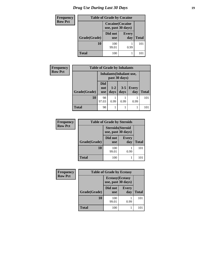| <b>Frequency</b> | <b>Table of Grade by Cocaine</b> |                       |                         |              |  |  |
|------------------|----------------------------------|-----------------------|-------------------------|--------------|--|--|
| <b>Row Pct</b>   |                                  | use, past 30 days)    | <b>Cocaine</b> (Cocaine |              |  |  |
|                  | Grade(Grade)                     | Did not<br><b>use</b> | <b>Every</b><br>day     | <b>Total</b> |  |  |
|                  | <b>10</b>                        | 100<br>99.01          | 0.99                    | 101          |  |  |
|                  | <b>Total</b>                     | 100                   |                         | 101          |  |  |

| <b>Frequency</b> | <b>Table of Grade by Inhalants</b> |                          |                                 |                 |                     |              |  |  |
|------------------|------------------------------------|--------------------------|---------------------------------|-----------------|---------------------|--------------|--|--|
| <b>Row Pct</b>   |                                    |                          | <b>Inhalants</b> (Inhalant use, | past 30 days)   |                     |              |  |  |
|                  | Grade(Grade)                       | Did<br>not<br><b>use</b> | $1 - 2$<br>days                 | $3 - 5$<br>days | <b>Every</b><br>day | <b>Total</b> |  |  |
|                  | <b>10</b>                          | 98<br>97.03              | 0.99                            | 0.99            | 0.99                | 101          |  |  |
|                  | <b>Total</b>                       | 98                       |                                 |                 |                     | 101          |  |  |

| <b>Frequency</b> | <b>Table of Grade by Steroids</b> |                                                |                     |              |  |  |  |  |
|------------------|-----------------------------------|------------------------------------------------|---------------------|--------------|--|--|--|--|
| <b>Row Pct</b>   |                                   | <b>Steroids</b> (Steroid<br>use, past 30 days) |                     |              |  |  |  |  |
|                  | Grade(Grade)                      | Did not<br><b>use</b>                          | <b>Every</b><br>day | <b>Total</b> |  |  |  |  |
|                  | 10                                | 100<br>99.01                                   | 0.99                | 101          |  |  |  |  |
|                  | <b>Total</b>                      | 100                                            |                     |              |  |  |  |  |

| Frequency      | <b>Table of Grade by Ecstasy</b> |                                               |                     |              |  |  |
|----------------|----------------------------------|-----------------------------------------------|---------------------|--------------|--|--|
| <b>Row Pct</b> |                                  | <b>Ecstasy</b> (Ecstasy<br>use, past 30 days) |                     |              |  |  |
|                | Grade(Grade)                     | Did not<br><b>use</b>                         | <b>Every</b><br>day | <b>Total</b> |  |  |
|                | 10                               | 100<br>99.01                                  | 0.99                | 101          |  |  |
|                | <b>Total</b>                     | 100                                           |                     | 101          |  |  |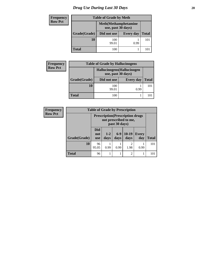### *Drug Use During Last 30 Days* 20

| <b>Frequency</b> |              | <b>Table of Grade by Meth</b>                      |                  |     |  |  |  |
|------------------|--------------|----------------------------------------------------|------------------|-----|--|--|--|
| <b>Row Pct</b>   |              | <b>Meth</b> (Methamphetamine<br>use, past 30 days) |                  |     |  |  |  |
|                  | Grade(Grade) | Did not use                                        | <b>Every day</b> |     |  |  |  |
|                  | 10           | 100<br>99.01                                       | 0.99             | 101 |  |  |  |
|                  | <b>Total</b> | 100                                                |                  | 101 |  |  |  |

| <b>Frequency</b> | <b>Table of Grade by Hallucinogens</b><br>Hallucinogens (Hallucinogen<br>use, past 30 days) |              |                  |              |
|------------------|---------------------------------------------------------------------------------------------|--------------|------------------|--------------|
| <b>Row Pct</b>   |                                                                                             |              |                  |              |
|                  | Grade(Grade)                                                                                | Did not use  | <b>Every day</b> | <b>Total</b> |
|                  | <b>10</b>                                                                                   | 100<br>99.01 | 0.99             | 101          |
|                  | <b>Total</b>                                                                                | 100          |                  | 10.          |

| <b>Frequency</b> | <b>Table of Grade by Prescription</b> |                                                                                    |               |                 |                        |                     |              |
|------------------|---------------------------------------|------------------------------------------------------------------------------------|---------------|-----------------|------------------------|---------------------|--------------|
| <b>Row Pct</b>   |                                       | <b>Prescription</b> (Prescription drugs)<br>not prescribed to me,<br>past 30 days) |               |                 |                        |                     |              |
|                  | Grade(Grade)                          | <b>Did</b><br>not<br><b>use</b>                                                    | $1-2$<br>days | $6 - 9$<br>days | $10-19$<br>days        | <b>Every</b><br>day | <b>Total</b> |
|                  | 10                                    | 96<br>95.05                                                                        | 0.99          | 0.99            | $\overline{2}$<br>1.98 | 0.99                | 101          |
|                  | <b>Total</b>                          | 96                                                                                 |               |                 | $\overline{2}$         |                     | 101          |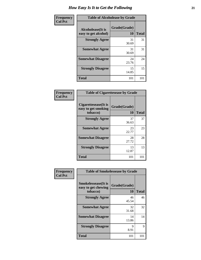| Frequency      | <b>Table of Alcoholease by Grade</b>              |                    |              |
|----------------|---------------------------------------------------|--------------------|--------------|
| <b>Col Pct</b> | <b>Alcoholease</b> (It is<br>easy to get alcohol) | Grade(Grade)<br>10 | <b>Total</b> |
|                | <b>Strongly Agree</b>                             | 31<br>30.69        | 31           |
|                | <b>Somewhat Agree</b>                             | 31<br>30.69        | 31           |
|                | <b>Somewhat Disagree</b>                          | 24<br>23.76        | 24           |
|                | <b>Strongly Disagree</b>                          | 15<br>14.85        | 15           |
|                | <b>Total</b>                                      | 101                | 101          |

| Frequency<br>Col Pct |
|----------------------|

| <b>Table of Cigarettesease by Grade</b>                 |                    |              |  |
|---------------------------------------------------------|--------------------|--------------|--|
| Cigarettesease(It is<br>easy to get smoking<br>tobacco) | Grade(Grade)<br>10 | <b>Total</b> |  |
| <b>Strongly Agree</b>                                   | 37<br>36.63        | 37           |  |
| <b>Somewhat Agree</b>                                   | 23<br>22.77        | 23           |  |
| <b>Somewhat Disagree</b>                                | 28<br>27.72        | 28           |  |
| <b>Strongly Disagree</b>                                | 13<br>12.87        | 13           |  |
| <b>Total</b>                                            | 101                | 101          |  |

| Frequency      | <b>Table of Smokelessease by Grade</b>                         |                    |              |  |
|----------------|----------------------------------------------------------------|--------------------|--------------|--|
| <b>Col Pct</b> | <b>Smokelessease</b> (It is<br>easy to get chewing<br>tobacco) | Grade(Grade)<br>10 | <b>Total</b> |  |
|                | <b>Strongly Agree</b>                                          | 46<br>45.54        | 46           |  |
|                | <b>Somewhat Agree</b>                                          | 32<br>31.68        | 32           |  |
|                | <b>Somewhat Disagree</b>                                       | 14<br>13.86        | 14           |  |
|                | <b>Strongly Disagree</b>                                       | 9<br>8.91          | 9            |  |
|                | <b>Total</b>                                                   | 101                | 101          |  |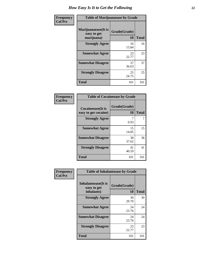| Frequency      | <b>Table of Marijuanaease by Grade</b>           |                           |              |
|----------------|--------------------------------------------------|---------------------------|--------------|
| <b>Col Pct</b> | Marijuanaease(It is<br>easy to get<br>marijuana) | Grade(Grade)<br><b>10</b> | <b>Total</b> |
|                | <b>Strongly Agree</b>                            | 16<br>15.84               | 16           |
|                | <b>Somewhat Agree</b>                            | 23<br>22.77               | 23           |
|                | <b>Somewhat Disagree</b>                         | 37<br>36.63               | 37           |
|                | <b>Strongly Disagree</b>                         | 25<br>24.75               | 25           |
|                | <b>Total</b>                                     | 101                       | 101          |

| <b>Table of Cocaineease by Grade</b>      |                    |              |
|-------------------------------------------|--------------------|--------------|
| Cocaineease(It is<br>easy to get cocaine) | Grade(Grade)<br>10 | <b>Total</b> |
| <b>Strongly Agree</b>                     | 7<br>6.93          | 7            |
| <b>Somewhat Agree</b>                     | 15<br>14.85        | 15           |
| <b>Somewhat Disagree</b>                  | 38<br>37.62        | 38           |
| <b>Strongly Disagree</b>                  | 41<br>40.59        | 41           |
| <b>Total</b>                              | 101                | 101          |

| Frequency      | <b>Table of Inhalantsease by Grade</b>           |                    |              |
|----------------|--------------------------------------------------|--------------------|--------------|
| <b>Col Pct</b> | Inhalantsease(It is<br>easy to get<br>inhalants) | Grade(Grade)<br>10 | <b>Total</b> |
|                | <b>Strongly Agree</b>                            | 30<br>29.70        | 30           |
|                | <b>Somewhat Agree</b>                            | 24<br>23.76        | 24           |
|                | <b>Somewhat Disagree</b>                         | 24<br>23.76        | 24           |
|                | <b>Strongly Disagree</b>                         | 23<br>22.77        | 23           |
|                | <b>Total</b>                                     | 101                | 101          |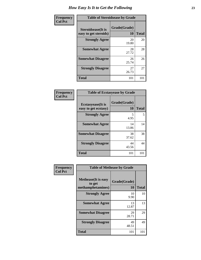| Frequency      | <b>Table of Steroidsease by Grade</b>               |                    |              |
|----------------|-----------------------------------------------------|--------------------|--------------|
| <b>Col Pct</b> | <b>Steroidsease</b> (It is<br>easy to get steroids) | Grade(Grade)<br>10 | <b>Total</b> |
|                | <b>Strongly Agree</b>                               | 20<br>19.80        | 20           |
|                | <b>Somewhat Agree</b>                               | 28<br>27.72        | 28           |
|                | <b>Somewhat Disagree</b>                            | 26<br>25.74        | 26           |
|                | <b>Strongly Disagree</b>                            | 27<br>26.73        | 27           |
|                | <b>Total</b>                                        | 101                | 101          |

| Frequency<br>  Col Pct |
|------------------------|
|                        |

| <b>Table of Ecstasyease by Grade</b> |              |              |  |
|--------------------------------------|--------------|--------------|--|
| <b>Ecstasyease</b> (It is            | Grade(Grade) |              |  |
| easy to get ecstasy)                 | 10           | <b>Total</b> |  |
| <b>Strongly Agree</b>                | 5<br>4.95    | 5            |  |
| <b>Somewhat Agree</b>                | 14<br>13.86  | 14           |  |
| <b>Somewhat Disagree</b>             | 38<br>37.62  | 38           |  |
| <b>Strongly Disagree</b>             | 44<br>43.56  | 44           |  |
| Total                                | 101          | 101          |  |

| <b>Table of Methease by Grade</b>                          |                    |              |  |  |  |
|------------------------------------------------------------|--------------------|--------------|--|--|--|
| <b>Methease</b> (It is easy<br>to get<br>methamphetamines) | Grade(Grade)<br>10 | <b>Total</b> |  |  |  |
| <b>Strongly Agree</b>                                      | 10<br>9.90         | 10           |  |  |  |
| <b>Somewhat Agree</b>                                      | 13<br>12.87        | 13           |  |  |  |
| <b>Somewhat Disagree</b>                                   | 29<br>28.71        | 29           |  |  |  |
| <b>Strongly Disagree</b>                                   | 49<br>48.51        | 49           |  |  |  |
| Total                                                      | 101                | 101          |  |  |  |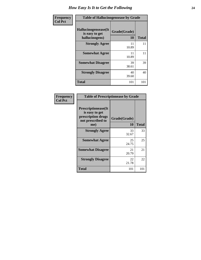| Frequency      | <b>Table of Hallucinogensease by Grade</b>               |                    |              |  |  |
|----------------|----------------------------------------------------------|--------------------|--------------|--|--|
| <b>Col Pct</b> | Hallucinogensease(It<br>is easy to get<br>hallucinogens) | Grade(Grade)<br>10 | <b>Total</b> |  |  |
|                | <b>Strongly Agree</b>                                    | 11<br>10.89        | 11           |  |  |
|                | <b>Somewhat Agree</b>                                    | 11<br>10.89        | 11           |  |  |
|                | <b>Somewhat Disagree</b>                                 | 39<br>38.61        | 39           |  |  |
|                | <b>Strongly Disagree</b>                                 | 40<br>39.60        | 40           |  |  |
|                | <b>Total</b>                                             | 101                | 101          |  |  |

| <b>Table of Prescriptionease by Grade</b>                                                |              |       |  |  |  |
|------------------------------------------------------------------------------------------|--------------|-------|--|--|--|
| <b>Prescriptionease</b> (It<br>is easy to get<br>prescription drugs<br>not prescribed to | Grade(Grade) |       |  |  |  |
| me)                                                                                      | 10           | Total |  |  |  |
| <b>Strongly Agree</b>                                                                    | 33<br>32.67  | 33    |  |  |  |
| <b>Somewhat Agree</b>                                                                    | 25<br>24.75  | 25    |  |  |  |
| <b>Somewhat Disagree</b>                                                                 | 21<br>20.79  | 21    |  |  |  |
| <b>Strongly Disagree</b>                                                                 | 22<br>21.78  | 22    |  |  |  |
| Total                                                                                    | 101          | 101   |  |  |  |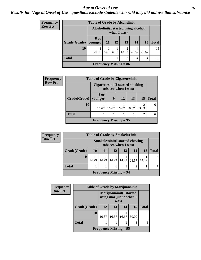#### *Age at Onset of Use* **25** *Results for "Age at Onset of Use" questions exclude students who said they did not use that substance*

| <b>Frequency</b> | <b>Table of Grade by Alcoholinit</b> |                                                     |           |           |                          |            |            |              |
|------------------|--------------------------------------|-----------------------------------------------------|-----------|-----------|--------------------------|------------|------------|--------------|
| <b>Row Pct</b>   |                                      | Alcoholinit (I started using alcohol<br>when I was) |           |           |                          |            |            |              |
|                  | Grade(Grade)                         | 8 or<br>  younger                                   | <b>11</b> | <b>12</b> | 13                       | 14         | 15         | <b>Total</b> |
|                  | 10                                   | 3<br>20.00                                          | 6.67      | 6.67      | $\overline{2}$<br>13.33  | 4<br>26.67 | 4<br>26.67 | 15           |
|                  | <b>Total</b>                         | 3                                                   |           |           | $\overline{2}$           | 4          | 4          | 15           |
|                  |                                      |                                                     |           |           | Frequency Missing $= 86$ |            |            |              |

| <b>Frequency</b> | <b>Table of Grade by Cigarettesinit</b> |                                                         |       |       |       |       |              |
|------------------|-----------------------------------------|---------------------------------------------------------|-------|-------|-------|-------|--------------|
| <b>Row Pct</b>   |                                         | Cigarettesinit(I started smoking<br>tobacco when I was) |       |       |       |       |              |
|                  | Grade(Grade)                            | 8 or<br>younger                                         | 9     | 12    | 13    | 15    | <b>Total</b> |
|                  |                                         |                                                         |       |       |       |       |              |
|                  | 10                                      | 16.67                                                   | 16.67 | 16.67 | 16.67 | 33.33 | 6            |
|                  | <b>Total</b>                            |                                                         |       |       |       | 2     |              |
|                  |                                         | <b>Frequency Missing = 95</b>                           |       |       |       |       |              |

| <b>Frequency</b> | <b>Table of Grade by Smokelessinit</b> |                                                               |       |       |                               |       |       |              |
|------------------|----------------------------------------|---------------------------------------------------------------|-------|-------|-------------------------------|-------|-------|--------------|
| <b>Row Pct</b>   |                                        | <b>Smokelessinit(I started chewing</b><br>tobacco when I was) |       |       |                               |       |       |              |
|                  | Grade(Grade)                           | <b>10</b>                                                     | -11   | 12    | 13                            | 14    | 15    | <b>Total</b> |
|                  | 10                                     | 14.29                                                         | 14.29 | 14.29 | 14.29                         | 28.57 | 14.29 |              |
|                  | <b>Total</b>                           |                                                               |       |       |                               | 2     |       |              |
|                  |                                        |                                                               |       |       | <b>Frequency Missing = 94</b> |       |       |              |

| <b>Frequency</b> | <b>Table of Grade by Marijuanainit</b> |                          |                                                           |       |       |              |  |
|------------------|----------------------------------------|--------------------------|-----------------------------------------------------------|-------|-------|--------------|--|
| <b>Row Pct</b>   |                                        |                          | Marijuanainit(I started<br>using marijuana when I<br>was) |       |       |              |  |
|                  | Grade(Grade)                           | 12                       | 13                                                        | 14    | 15    | <b>Total</b> |  |
|                  | 10                                     | 16.67                    | 16.67                                                     | 16.67 | 50.00 | 6            |  |
|                  | <b>Total</b>                           |                          |                                                           |       | 3     | 6            |  |
|                  |                                        | Frequency Missing $= 95$ |                                                           |       |       |              |  |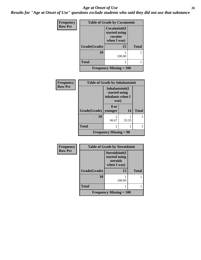#### *Age at Onset of Use* **26**

*Results for "Age at Onset of Use" questions exclude students who said they did not use that substance*

| <b>Frequency</b> | <b>Table of Grade by Cocaineinit</b>        |                                                          |              |  |  |
|------------------|---------------------------------------------|----------------------------------------------------------|--------------|--|--|
| <b>Row Pct</b>   |                                             | Cocaineinit(I<br>started using<br>cocaine<br>when I was) |              |  |  |
|                  | Grade(Grade)                                | 15                                                       | <b>Total</b> |  |  |
|                  | 10                                          | 100.00                                                   |              |  |  |
|                  | <b>Total</b>                                |                                                          |              |  |  |
|                  | <b>Frequency Missing <math>= 100</math></b> |                                                          |              |  |  |

| Frequency      | <b>Table of Grade by Inhalantsinit</b> |                                                              |       |              |
|----------------|----------------------------------------|--------------------------------------------------------------|-------|--------------|
| <b>Row Pct</b> |                                        | Inhalantsinit(I<br>started using<br>inhalants when I<br>was) |       |              |
|                | Grade(Grade)                           | 8 or<br>younger                                              | 14    | <b>Total</b> |
|                | 10                                     | 2<br>66.67                                                   | 33.33 | 3            |
|                | <b>Total</b>                           | 2                                                            |       | 3            |
|                |                                        | <b>Frequency Missing = 98</b>                                |       |              |

| Frequency      | <b>Table of Grade by Steroidsinit</b> |                                                            |              |  |  |
|----------------|---------------------------------------|------------------------------------------------------------|--------------|--|--|
| <b>Row Pct</b> |                                       | Steroidsinit(I<br>started using<br>steroids<br>when I was) |              |  |  |
|                | Grade(Grade)                          | 15                                                         | <b>Total</b> |  |  |
|                | 10                                    | 100.00                                                     |              |  |  |
|                | Total                                 |                                                            |              |  |  |
|                |                                       | Frequency Missing $= 100$                                  |              |  |  |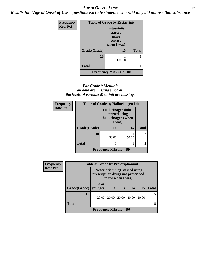#### *Age at Onset of Use* **27**

*Results for "Age at Onset of Use" questions exclude students who said they did not use that substance*

| Frequency      | <b>Table of Grade by Ecstasyinit</b>        |                                                             |              |  |  |
|----------------|---------------------------------------------|-------------------------------------------------------------|--------------|--|--|
| <b>Row Pct</b> |                                             | Ecstasyinit(I<br>started<br>using<br>ecstasy<br>when I was) |              |  |  |
|                | Grade(Grade)                                | 15                                                          | <b>Total</b> |  |  |
|                | 10                                          | 100.00                                                      |              |  |  |
|                | <b>Total</b>                                |                                                             |              |  |  |
|                | <b>Frequency Missing <math>= 100</math></b> |                                                             |              |  |  |

#### *For Grade \* Methinit all data are missing since all the levels of variable Methinit are missing.*

| <b>Frequency</b> | <b>Table of Grade by Hallucinogensinit</b> |                                                                      |       |                |  |
|------------------|--------------------------------------------|----------------------------------------------------------------------|-------|----------------|--|
| <b>Row Pct</b>   |                                            | Hallucinogensinit(I<br>started using<br>hallucinogens when<br>I was) |       |                |  |
|                  | Grade(Grade)                               | 14                                                                   | 15    | <b>Total</b>   |  |
|                  | <b>10</b>                                  | 50.00                                                                | 50.00 | $\mathfrak{D}$ |  |
|                  | <b>Total</b>                               |                                                                      |       | $\mathfrak{D}$ |  |
|                  |                                            | <b>Frequency Missing = 99</b>                                        |       |                |  |

| <b>Frequency</b> | <b>Table of Grade by Prescriptioninit</b> |                                                                                                    |       |       |       |       |              |
|------------------|-------------------------------------------|----------------------------------------------------------------------------------------------------|-------|-------|-------|-------|--------------|
| <b>Row Pct</b>   |                                           | <b>Prescriptioninit (I started using</b><br>prescription drugs not prescribed<br>to me when I was) |       |       |       |       |              |
|                  | Grade(Grade)                              | 8 or<br>vounger                                                                                    | 9     | 13    | 14    | 15    | <b>Total</b> |
|                  | 10                                        | 20.00                                                                                              | 20.00 | 20.00 | 20.00 | 20.00 |              |
|                  | <b>Total</b>                              |                                                                                                    |       |       |       |       | 5            |
|                  |                                           | Frequency Missing $= 96$                                                                           |       |       |       |       |              |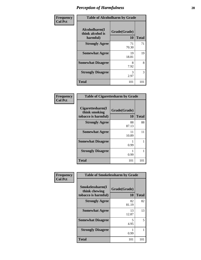| Frequency      | <b>Table of Alcoholharm by Grade</b>          |                    |              |
|----------------|-----------------------------------------------|--------------------|--------------|
| <b>Col Pct</b> | Alcoholharm(I<br>think alcohol is<br>harmful) | Grade(Grade)<br>10 | <b>Total</b> |
|                | <b>Strongly Agree</b>                         | 71<br>70.30        | 71           |
|                | <b>Somewhat Agree</b>                         | 19<br>18.81        | 19           |
|                | <b>Somewhat Disagree</b>                      | 8<br>7.92          | 8            |
|                | <b>Strongly Disagree</b>                      | 3<br>2.97          | 3            |
|                | <b>Total</b>                                  | 101                | 101          |

| <b>Table of Cigarettesharm by Grade</b>                  |                    |              |  |
|----------------------------------------------------------|--------------------|--------------|--|
| Cigarettesharm(I<br>think smoking<br>tobacco is harmful) | Grade(Grade)<br>10 | <b>Total</b> |  |
| <b>Strongly Agree</b>                                    | 88<br>87.13        | 88           |  |
| <b>Somewhat Agree</b>                                    | 11<br>10.89        | 11           |  |
| <b>Somewhat Disagree</b>                                 | 0.99               | 1            |  |
| <b>Strongly Disagree</b>                                 | 0.99               |              |  |
| Total                                                    | 101                | 101          |  |

| Frequency      | <b>Table of Smokelessharm by Grade</b>                  |                    |              |
|----------------|---------------------------------------------------------|--------------------|--------------|
| <b>Col Pct</b> | Smokelessharm(I<br>think chewing<br>tobacco is harmful) | Grade(Grade)<br>10 | <b>Total</b> |
|                | <b>Strongly Agree</b>                                   | 82<br>81.19        | 82           |
|                | <b>Somewhat Agree</b>                                   | 13<br>12.87        | 13           |
|                | <b>Somewhat Disagree</b>                                | 5<br>4.95          | 5            |
|                | <b>Strongly Disagree</b>                                | 0.99               |              |
|                | <b>Total</b>                                            | 101                | 101          |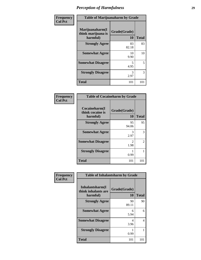| Frequency      | <b>Table of Marijuanaharm by Grade</b>            |                    |              |
|----------------|---------------------------------------------------|--------------------|--------------|
| <b>Col Pct</b> | Marijuanaharm(I<br>think marijuana is<br>harmful) | Grade(Grade)<br>10 | <b>Total</b> |
|                | <b>Strongly Agree</b>                             | 83<br>82.18        | 83           |
|                | <b>Somewhat Agree</b>                             | 10<br>9.90         | 10           |
|                | <b>Somewhat Disagree</b>                          | 5<br>4.95          | 5            |
|                | <b>Strongly Disagree</b>                          | 3<br>2.97          | 3            |
|                | <b>Total</b>                                      | 101                | 101          |

| <b>Table of Cocaineharm by Grade</b>          |                    |              |  |
|-----------------------------------------------|--------------------|--------------|--|
| Cocaineharm(I<br>think cocaine is<br>harmful) | Grade(Grade)<br>10 | <b>Total</b> |  |
| <b>Strongly Agree</b>                         | 95<br>94.06        | 95           |  |
| <b>Somewhat Agree</b>                         | 3<br>2.97          | 3            |  |
| <b>Somewhat Disagree</b>                      | 2<br>1.98          | 2            |  |
| <b>Strongly Disagree</b>                      | 0.99               |              |  |
| <b>Total</b>                                  | 101                | 101          |  |

| Frequency      |                                                    | <b>Table of Inhalantsharm by Grade</b> |              |  |
|----------------|----------------------------------------------------|----------------------------------------|--------------|--|
| <b>Col Pct</b> | Inhalantsharm(I<br>think inhalants are<br>harmful) | Grade(Grade)<br>10                     | <b>Total</b> |  |
|                | <b>Strongly Agree</b>                              | 90<br>89.11                            | 90           |  |
|                | <b>Somewhat Agree</b>                              | 6<br>5.94                              | 6            |  |
|                | <b>Somewhat Disagree</b>                           | 4<br>3.96                              | 4            |  |
|                | <b>Strongly Disagree</b>                           | 0.99                                   |              |  |
|                | <b>Total</b>                                       | 101                                    | 101          |  |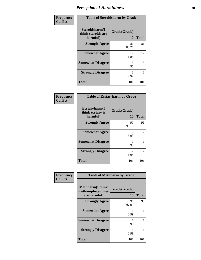| Frequency      |                                                  | <b>Table of Steroidsharm by Grade</b> |              |
|----------------|--------------------------------------------------|---------------------------------------|--------------|
| <b>Col Pct</b> | Steroidsharm(I<br>think steroids are<br>harmful) | Grade(Grade)<br><b>10</b>             | <b>Total</b> |
|                | <b>Strongly Agree</b>                            | 81<br>80.20                           | 81           |
|                | <b>Somewhat Agree</b>                            | 12<br>11.88                           | 12           |
|                | <b>Somewhat Disagree</b>                         | 5<br>4.95                             | 5            |
|                | <b>Strongly Disagree</b>                         | 3<br>2.97                             | 3            |
|                | <b>Total</b>                                     | 101                                   | 101          |

| <b>Table of Ecstasyharm by Grade</b>                |                    |              |  |
|-----------------------------------------------------|--------------------|--------------|--|
| $E$ cstasyharm $(I$<br>think ecstasy is<br>harmful) | Grade(Grade)<br>10 | <b>Total</b> |  |
| <b>Strongly Agree</b>                               | 91<br>90.10        | 91           |  |
| <b>Somewhat Agree</b>                               | 7<br>6.93          |              |  |
| <b>Somewhat Disagree</b>                            | 0.99               |              |  |
| <b>Strongly Disagree</b>                            | 2<br>1.98          | 2            |  |
| <b>Total</b>                                        | 101                | 101          |  |

| Frequency      |                                                              | <b>Table of Methharm by Grade</b> |              |  |
|----------------|--------------------------------------------------------------|-----------------------------------|--------------|--|
| <b>Col Pct</b> | <b>Methharm</b> (I think<br>methamphetamines<br>are harmful) | Grade(Grade)<br>10                | <b>Total</b> |  |
|                | <b>Strongly Agree</b>                                        | 98<br>97.03                       | 98           |  |
|                | <b>Somewhat Agree</b>                                        | 0.99                              |              |  |
|                | <b>Somewhat Disagree</b>                                     | 0.99                              |              |  |
|                | <b>Strongly Disagree</b>                                     | 0.99                              |              |  |
|                | <b>Total</b>                                                 | 101                               | 101          |  |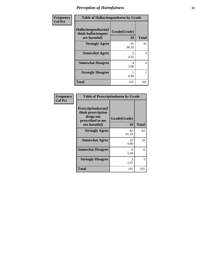| Frequency      | <b>Table of Hallucinogensharm by Grade</b>                 |                    |              |
|----------------|------------------------------------------------------------|--------------------|--------------|
| <b>Col Pct</b> | Hallucinogensharm(I<br>think hallucinogens<br>are harmful) | Grade(Grade)<br>10 | <b>Total</b> |
|                | <b>Strongly Agree</b>                                      | 91<br>90.10        | 91           |
|                | <b>Somewhat Agree</b>                                      | 5<br>4.95          | 5            |
|                | <b>Somewhat Disagree</b>                                   | 4<br>3.96          | 4            |
|                | <b>Strongly Disagree</b>                                   | 0.99               | 1            |
|                | <b>Total</b>                                               | 101                | 101          |

| <b>Table of Prescriptionharm by Grade</b>                                                 |                    |       |  |
|-------------------------------------------------------------------------------------------|--------------------|-------|--|
| Prescriptionharm(I<br>think prescription<br>drugs not<br>prescribed to me<br>are harmful) | Grade(Grade)<br>10 | Total |  |
| <b>Strongly Agree</b>                                                                     | 82<br>81.19        | 82    |  |
| <b>Somewhat Agree</b>                                                                     | 10<br>9.90         | 10    |  |
| <b>Somewhat Disagree</b>                                                                  | 6<br>5.94          | 6     |  |
| <b>Strongly Disagree</b>                                                                  | 3<br>2.97          | 3     |  |
| Total                                                                                     | 101                | 101   |  |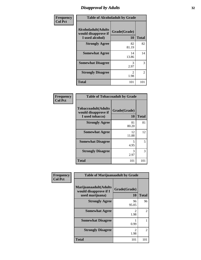### *Disapproval by Adults* **32**

| Frequency      |                                                                       | <b>Table of Alcoholadult by Grade</b> |              |
|----------------|-----------------------------------------------------------------------|---------------------------------------|--------------|
| <b>Col Pct</b> | <b>Alcoholadult</b> (Adults<br>would disapprove if<br>I used alcohol) | Grade(Grade)<br>10                    | <b>Total</b> |
|                | <b>Strongly Agree</b>                                                 | 82<br>81.19                           | 82           |
|                | <b>Somewhat Agree</b>                                                 | 14<br>13.86                           | 14           |
|                | <b>Somewhat Disagree</b>                                              | 3<br>2.97                             | 3            |
|                | <b>Strongly Disagree</b>                                              | 2<br>1.98                             | 2            |
|                | <b>Total</b>                                                          | 101                                   | 101          |

| <b>Frequency</b><br>Col Pct |
|-----------------------------|
|                             |

| <b>Table of Tobaccoadult by Grade</b>                                 |                    |              |
|-----------------------------------------------------------------------|--------------------|--------------|
| <b>Tobaccoadult</b> (Adults<br>would disapprove if<br>I used tobacco) | Grade(Grade)<br>10 | <b>Total</b> |
| <b>Strongly Agree</b>                                                 | 81<br>80.20        | 81           |
| <b>Somewhat Agree</b>                                                 | 12<br>11.88        | 12           |
| <b>Somewhat Disagree</b>                                              | 5<br>4.95          | 5            |
| <b>Strongly Disagree</b>                                              | 3<br>2.97          | 3            |
| Total                                                                 | 101                | 101          |

| Frequency      | <b>Table of Marijuanaadult by Grade</b>                           |                        |                |
|----------------|-------------------------------------------------------------------|------------------------|----------------|
| <b>Col Pct</b> | Marijuanaadult(Adults<br>would disapprove if I<br>used marijuana) | Grade(Grade)<br>10     | <b>Total</b>   |
|                | <b>Strongly Agree</b>                                             | 96<br>95.05            | 96             |
|                | <b>Somewhat Agree</b>                                             | $\mathfrak{D}$<br>1.98 | $\overline{2}$ |
|                | <b>Somewhat Disagree</b>                                          | 0.99                   |                |
|                | <b>Strongly Disagree</b>                                          | 2<br>1.98              | 2              |
|                | <b>Total</b>                                                      | 101                    | 101            |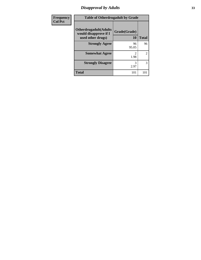### *Disapproval by Adults* **33**

| Frequency      | <b>Table of Otherdrugadult by Grade</b>                                     |                           |              |
|----------------|-----------------------------------------------------------------------------|---------------------------|--------------|
| <b>Col Pct</b> | <b>Otherdrugadult</b> (Adults<br>would disapprove if I<br>used other drugs) | Grade(Grade)<br><b>10</b> | <b>Total</b> |
|                | <b>Strongly Agree</b>                                                       | 96<br>95.05               | 96           |
|                | <b>Somewhat Agree</b>                                                       | 1.98                      | 2            |
|                | <b>Strongly Disagree</b>                                                    | 3<br>2.97                 | 3            |
|                | <b>Total</b>                                                                | 101                       | 101          |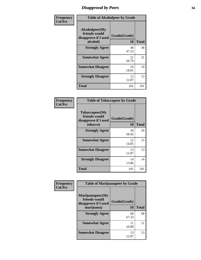### *Disapproval by Peers* **34**

| Frequency      | <b>Table of Alcoholpeer by Grade</b>                                |                    |              |
|----------------|---------------------------------------------------------------------|--------------------|--------------|
| <b>Col Pct</b> | Alcoholpeer(My<br>friends would<br>disapprove if I used<br>alcohol) | Grade(Grade)<br>10 | <b>Total</b> |
|                | <b>Strongly Agree</b>                                               | 48<br>47.52        | 48           |
|                | <b>Somewhat Agree</b>                                               | 21<br>20.79        | 21           |
|                | <b>Somewhat Disagree</b>                                            | 19<br>18.81        | 19           |
|                | <b>Strongly Disagree</b>                                            | 13<br>12.87        | 13           |
|                | <b>Total</b>                                                        | 101                | 101          |

| Frequency      |                                                                     | <b>Table of Tobaccopeer by Grade</b> |              |
|----------------|---------------------------------------------------------------------|--------------------------------------|--------------|
| <b>Col Pct</b> | Tobaccopeer(My<br>friends would<br>disapprove if I used<br>tobacco) | Grade(Grade)<br>10                   | <b>Total</b> |
|                | <b>Strongly Agree</b>                                               | 59<br>58.42                          | 59           |
|                | <b>Somewhat Agree</b>                                               | 15<br>14.85                          | 15           |
|                | <b>Somewhat Disagree</b>                                            | 13<br>12.87                          | 13           |
|                | <b>Strongly Disagree</b>                                            | 14<br>13.86                          | 14           |
|                | <b>Total</b>                                                        | 101                                  | 101          |

| Frequency      | <b>Table of Marijuanapeer by Grade</b>                    |              |              |
|----------------|-----------------------------------------------------------|--------------|--------------|
| <b>Col Pct</b> | Marijuanapeer(My<br>friends would<br>disapprove if I used | Grade(Grade) |              |
|                | marijuana)                                                | 10           | <b>Total</b> |
|                | <b>Strongly Agree</b>                                     | 68<br>67.33  | 68           |
|                | <b>Somewhat Agree</b>                                     | 11<br>10.89  | 11           |
|                | <b>Somewhat Disagree</b>                                  | 13<br>12.87  | 13           |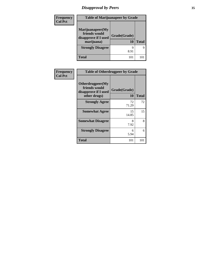### *Disapproval by Peers* **35**

| Frequency<br><b>Col Pct</b> | <b>Table of Marijuanapeer by Grade</b>                                  |                    |              |
|-----------------------------|-------------------------------------------------------------------------|--------------------|--------------|
|                             | Marijuanapeer(My<br>friends would<br>disapprove if I used<br>marijuana) | Grade(Grade)<br>10 | <b>Total</b> |
|                             | <b>Strongly Disagree</b>                                                | 8.91               | q            |
|                             | <b>Total</b>                                                            | 101                | 101          |

| Frequency<br><b>Col Pct</b> | <b>Table of Otherdrugpeer by Grade</b>                                    |                    |              |
|-----------------------------|---------------------------------------------------------------------------|--------------------|--------------|
|                             | Otherdrugpeer(My<br>friends would<br>disapprove if I used<br>other drugs) | Grade(Grade)<br>10 | <b>Total</b> |
|                             | <b>Strongly Agree</b>                                                     | 72<br>71.29        | 72           |
|                             | <b>Somewhat Agree</b>                                                     | 15<br>14.85        | 15           |
|                             | <b>Somewhat Disagree</b>                                                  | 8<br>7.92          | 8            |
|                             | <b>Strongly Disagree</b>                                                  | 6<br>5.94          | 6            |
|                             | <b>Total</b>                                                              | 101                | 101          |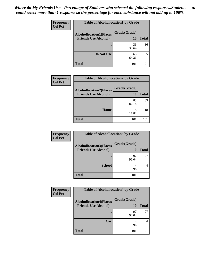#### *Where do My Friends Use - Percentage of Students who selected the following responses.Students could select more than 1 response so the percentage for each substance will not add up to 100%.* **36**

| Frequency<br><b>Col Pct</b> | <b>Table of Alcohollocation1 by Grade</b> |              |              |
|-----------------------------|-------------------------------------------|--------------|--------------|
|                             | <b>Alcohollocation1(Places</b>            | Grade(Grade) |              |
|                             | <b>Friends Use Alcohol)</b>               | <b>10</b>    | <b>Total</b> |
|                             |                                           | 36<br>35.64  | 36           |
|                             | Do Not Use                                | 65<br>64.36  | 65           |
|                             | <b>Total</b>                              | 101          | 101          |

| <b>Frequency</b> | <b>Table of Alcohollocation2 by Grade</b>                     |                    |              |
|------------------|---------------------------------------------------------------|--------------------|--------------|
| <b>Col Pct</b>   | <b>Alcohollocation2(Places</b><br><b>Friends Use Alcohol)</b> | Grade(Grade)<br>10 | <b>Total</b> |
|                  |                                                               | 83<br>82.18        | 83           |
|                  | Home                                                          | 18<br>17.82        | 18           |
|                  | <b>Total</b>                                                  | 101                | 101          |

| Frequency      | <b>Table of Alcohollocation 3 by Grade</b>                    |                    |              |
|----------------|---------------------------------------------------------------|--------------------|--------------|
| <b>Col Pct</b> | <b>Alcohollocation3(Places</b><br><b>Friends Use Alcohol)</b> | Grade(Grade)<br>10 | <b>Total</b> |
|                |                                                               | 97<br>96.04        | 97           |
|                | <b>School</b>                                                 | 4<br>3.96          |              |
|                | <b>Total</b>                                                  | 101                |              |

| <b>Frequency</b> | <b>Table of Alcohollocation4 by Grade</b>                     |                    |              |
|------------------|---------------------------------------------------------------|--------------------|--------------|
| <b>Col Pct</b>   | <b>Alcohollocation4(Places</b><br><b>Friends Use Alcohol)</b> | Grade(Grade)<br>10 | <b>Total</b> |
|                  |                                                               | 97<br>96.04        | 97           |
|                  | Car                                                           | 4<br>3.96          |              |
|                  | <b>Total</b>                                                  | 101                | 101          |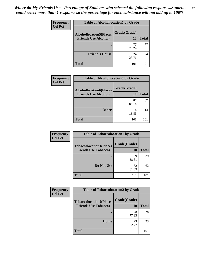| Frequency      |                                | <b>Table of Alcohollocation5 by Grade</b> |              |
|----------------|--------------------------------|-------------------------------------------|--------------|
| <b>Col Pct</b> | <b>Alcohollocation5(Places</b> | Grade(Grade)                              |              |
|                | <b>Friends Use Alcohol)</b>    | 10                                        | <b>Total</b> |
|                |                                | 76.24                                     | 77           |
|                | <b>Friend's House</b>          | 24<br>23.76                               | 24           |
|                | <b>Total</b>                   | 101                                       | 101          |

| <b>Frequency</b> | <b>Table of Alcohollocation6 by Grade</b>                     |                    |              |
|------------------|---------------------------------------------------------------|--------------------|--------------|
| <b>Col Pct</b>   | <b>Alcohollocation6(Places</b><br><b>Friends Use Alcohol)</b> | Grade(Grade)<br>10 | <b>Total</b> |
|                  |                                                               | 87<br>86.14        | 87           |
|                  | <b>Other</b>                                                  | 14<br>13.86        | 14           |
|                  | <b>Total</b>                                                  | 101                |              |

| Frequency      | <b>Table of Tobaccolocation1 by Grade</b>                     |                    |              |
|----------------|---------------------------------------------------------------|--------------------|--------------|
| <b>Col Pct</b> | <b>Tobaccolocation1(Places</b><br><b>Friends Use Tobacco)</b> | Grade(Grade)<br>10 | <b>Total</b> |
|                |                                                               | 39<br>38.61        | 39           |
|                | Do Not Use                                                    | 62<br>61.39        | 62           |
|                | <b>Total</b>                                                  | 101                |              |

| <b>Frequency</b> | <b>Table of Tobaccolocation2 by Grade</b>                     |                    |              |
|------------------|---------------------------------------------------------------|--------------------|--------------|
| <b>Col Pct</b>   | <b>Tobaccolocation2(Places</b><br><b>Friends Use Tobacco)</b> | Grade(Grade)<br>10 | <b>Total</b> |
|                  |                                                               | 78<br>77.23        | 78           |
|                  | Home                                                          | 23<br>22.77        | 23           |
|                  | Total                                                         | 101                | 101          |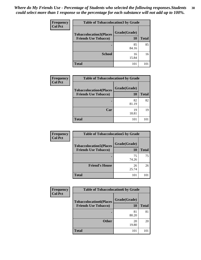| Frequency<br><b>Col Pct</b> | <b>Table of Tobaccolocation 3 by Grade</b> |              |              |
|-----------------------------|--------------------------------------------|--------------|--------------|
|                             | <b>Tobaccolocation3(Places</b>             | Grade(Grade) |              |
|                             | <b>Friends Use Tobacco)</b>                | 10           | <b>Total</b> |
|                             |                                            | 85<br>84.16  | 85           |
|                             | <b>School</b>                              | 16<br>15.84  | 16           |
|                             | <b>Total</b>                               | 101          | 101          |

| Frequency      | <b>Table of Tobaccolocation4 by Grade</b>                     |                    |              |
|----------------|---------------------------------------------------------------|--------------------|--------------|
| <b>Col Pct</b> | <b>Tobaccolocation4(Places</b><br><b>Friends Use Tobacco)</b> | Grade(Grade)<br>10 | <b>Total</b> |
|                |                                                               | 82<br>81.19        | 82           |
|                | Car                                                           | 19<br>18.81        | 19           |
|                | <b>Total</b>                                                  | 101                |              |

| Frequency      | <b>Table of Tobaccolocation5 by Grade</b>                     |                    |              |
|----------------|---------------------------------------------------------------|--------------------|--------------|
| <b>Col Pct</b> | <b>Tobaccolocation5(Places</b><br><b>Friends Use Tobacco)</b> | Grade(Grade)<br>10 | <b>Total</b> |
|                |                                                               | 75<br>74.26        | 75           |
|                | <b>Friend's House</b>                                         | 26<br>25.74        | 26           |
|                | <b>Total</b>                                                  | 101                |              |

| <b>Frequency</b> | <b>Table of Tobaccolocation6 by Grade</b>                     |                    |              |
|------------------|---------------------------------------------------------------|--------------------|--------------|
| <b>Col Pct</b>   | <b>Tobaccolocation6(Places</b><br><b>Friends Use Tobacco)</b> | Grade(Grade)<br>10 | <b>Total</b> |
|                  |                                                               | 81<br>80.20        | 81           |
|                  | <b>Other</b>                                                  | 20<br>19.80        | 20           |
|                  | <b>Total</b>                                                  | 101                | 101          |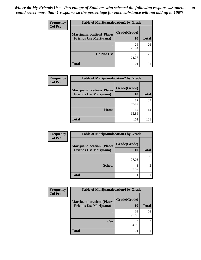| Frequency<br><b>Col Pct</b> | <b>Table of Marijuanalocation1 by Grade</b> |              |              |  |
|-----------------------------|---------------------------------------------|--------------|--------------|--|
|                             | <b>Marijuanalocation1(Places</b>            | Grade(Grade) |              |  |
|                             | <b>Friends Use Marijuana</b> )              | 10           | <b>Total</b> |  |
|                             |                                             | 26<br>25.74  | 26           |  |
|                             | Do Not Use                                  | 75<br>74.26  | 75           |  |
|                             | <b>Total</b>                                | 101          |              |  |

| <b>Frequency</b> | <b>Table of Marijuanalocation2 by Grade</b>                        |                    |              |
|------------------|--------------------------------------------------------------------|--------------------|--------------|
| <b>Col Pct</b>   | <b>Marijuanalocation2(Places</b><br><b>Friends Use Marijuana</b> ) | Grade(Grade)<br>10 | <b>Total</b> |
|                  |                                                                    | 87<br>86.14        | 87           |
|                  | Home                                                               | 14<br>13.86        | 14           |
|                  | <b>Total</b>                                                       | 101                |              |

| Frequency<br><b>Col Pct</b> | <b>Table of Marijuanalocation3 by Grade</b>                        |                    |              |  |
|-----------------------------|--------------------------------------------------------------------|--------------------|--------------|--|
|                             | <b>Marijuanalocation3(Places</b><br><b>Friends Use Marijuana</b> ) | Grade(Grade)<br>10 | <b>Total</b> |  |
|                             |                                                                    | 98<br>97.03        | 98           |  |
|                             | <b>School</b>                                                      | 2.97               | 3            |  |
|                             | <b>Total</b>                                                       | 101                |              |  |

| Frequency      | <b>Table of Marijuanalocation4 by Grade</b>                        |                    |              |
|----------------|--------------------------------------------------------------------|--------------------|--------------|
| <b>Col Pct</b> | <b>Marijuanalocation4(Places</b><br><b>Friends Use Marijuana</b> ) | Grade(Grade)<br>10 | <b>Total</b> |
|                |                                                                    | 96<br>95.05        | 96           |
|                | Car                                                                | 4.95               |              |
|                | <b>Total</b>                                                       | 101                |              |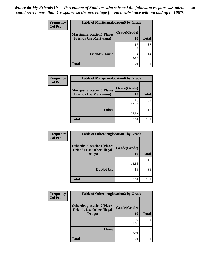| <b>Frequency</b> | <b>Table of Marijuanalocation5 by Grade</b> |              |              |
|------------------|---------------------------------------------|--------------|--------------|
| <b>Col Pct</b>   | <b>Marijuanalocation5(Places</b>            | Grade(Grade) |              |
|                  | <b>Friends Use Marijuana</b> )              | 10           | <b>Total</b> |
|                  |                                             | 87<br>86.14  | 87           |
|                  | <b>Friend's House</b>                       | 14<br>13.86  | 14           |
|                  | <b>Total</b>                                | 101          |              |

| Frequency      | <b>Table of Marijuanalocation6 by Grade</b>                        |                    |              |
|----------------|--------------------------------------------------------------------|--------------------|--------------|
| <b>Col Pct</b> | <b>Marijuanalocation6(Places</b><br><b>Friends Use Marijuana</b> ) | Grade(Grade)<br>10 | <b>Total</b> |
|                |                                                                    | 88<br>87.13        | 88           |
|                | <b>Other</b>                                                       | 13<br>12.87        | 13           |
|                | <b>Total</b>                                                       | 101                | 10           |

| Frequency      | <b>Table of Otherdruglocation1 by Grade</b>                                    |                           |              |
|----------------|--------------------------------------------------------------------------------|---------------------------|--------------|
| <b>Col Pct</b> | <b>Otherdruglocation1(Places</b><br><b>Friends Use Other Illegal</b><br>Drugs) | Grade(Grade)<br><b>10</b> | <b>Total</b> |
|                |                                                                                | 15<br>14.85               | 15           |
|                | Do Not Use                                                                     | 86<br>85.15               | 86           |
|                | <b>Total</b>                                                                   | 101                       | 101          |

| <b>Frequency</b> | <b>Table of Otherdruglocation2 by Grade</b>                                    |                           |              |
|------------------|--------------------------------------------------------------------------------|---------------------------|--------------|
| <b>Col Pct</b>   | <b>Otherdruglocation2(Places</b><br><b>Friends Use Other Illegal</b><br>Drugs) | Grade(Grade)<br><b>10</b> | <b>Total</b> |
|                  |                                                                                | 92<br>91.09               | 92           |
|                  | <b>Home</b>                                                                    | Q<br>8.91                 | 9            |
|                  | <b>Total</b>                                                                   | 101                       | 101          |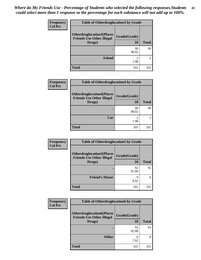| <b>Frequency</b> | <b>Table of Otherdruglocation 3 by Grade</b>                                   |                    |              |
|------------------|--------------------------------------------------------------------------------|--------------------|--------------|
| <b>Col Pct</b>   | <b>Otherdruglocation3(Places</b><br><b>Friends Use Other Illegal</b><br>Drugs) | Grade(Grade)<br>10 | <b>Total</b> |
|                  |                                                                                |                    |              |
|                  |                                                                                | 99<br>98.02        | 99           |
|                  | <b>School</b>                                                                  | 1.98               | 2            |
|                  | <b>Total</b>                                                                   | 101                |              |

| Frequency      | <b>Table of Otherdruglocation4 by Grade</b>                                    |                    |              |
|----------------|--------------------------------------------------------------------------------|--------------------|--------------|
| <b>Col Pct</b> | <b>Otherdruglocation4(Places</b><br><b>Friends Use Other Illegal</b><br>Drugs) | Grade(Grade)<br>10 | <b>Total</b> |
|                |                                                                                | 99<br>98.02        | 99           |
|                | Car                                                                            | 2<br>1.98          |              |
|                | <b>Total</b>                                                                   | 101                | 101          |

| Frequency      | <b>Table of Otherdruglocation5 by Grade</b>                                    |                           |              |
|----------------|--------------------------------------------------------------------------------|---------------------------|--------------|
| <b>Col Pct</b> | <b>Otherdruglocation5(Places</b><br><b>Friends Use Other Illegal</b><br>Drugs) | Grade(Grade)<br><b>10</b> | <b>Total</b> |
|                |                                                                                | 92<br>91.09               | 92           |
|                | <b>Friend's House</b>                                                          | O<br>8.91                 | 9            |
|                | <b>Total</b>                                                                   | 101                       | 101          |

| <b>Frequency</b> | <b>Table of Otherdruglocation6 by Grade</b>                                    |                    |              |
|------------------|--------------------------------------------------------------------------------|--------------------|--------------|
| <b>Col Pct</b>   | <b>Otherdruglocation6(Places</b><br><b>Friends Use Other Illegal</b><br>Drugs) | Grade(Grade)<br>10 | <b>Total</b> |
|                  |                                                                                | 93<br>92.08        | 93           |
|                  | <b>Other</b>                                                                   | 8<br>7.92          | 8            |
|                  | <b>Total</b>                                                                   | 101                | 101          |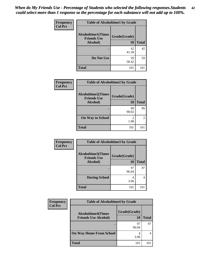| Frequency      | <b>Table of Alcoholtime1 by Grade</b>           |              |              |
|----------------|-------------------------------------------------|--------------|--------------|
| <b>Col Pct</b> | <b>Alcoholtime1(Times</b><br><b>Friends Use</b> | Grade(Grade) |              |
|                | Alcohol)                                        | 10           | <b>Total</b> |
|                |                                                 | 42           | 42           |
|                |                                                 | 41.58        |              |
|                | Do Not Use                                      | 59           | 59           |
|                |                                                 | 58.42        |              |
|                | <b>Total</b>                                    | 101          | 101          |

| Frequency<br><b>Col Pct</b> | <b>Table of Alcoholtime2 by Grade</b>           |              |               |
|-----------------------------|-------------------------------------------------|--------------|---------------|
|                             | <b>Alcoholtime2(Times</b><br><b>Friends Use</b> | Grade(Grade) |               |
|                             | Alcohol)                                        | 10           | <b>Total</b>  |
|                             |                                                 | 99<br>98.02  | 99            |
|                             | <b>On Way to School</b>                         | 2<br>1.98    | $\mathcal{L}$ |
|                             | <b>Total</b>                                    | 101          | 101           |

| Frequency      |                                                 | <b>Table of Alcoholtime3 by Grade</b> |              |  |
|----------------|-------------------------------------------------|---------------------------------------|--------------|--|
| <b>Col Pct</b> | <b>Alcoholtime3(Times</b><br><b>Friends Use</b> | Grade(Grade)                          |              |  |
|                | Alcohol)                                        | 10                                    | <b>Total</b> |  |
|                |                                                 | 97<br>96.04                           | 97           |  |
|                | <b>During School</b>                            | 3.96                                  | 4            |  |
|                | <b>Total</b>                                    | 101                                   | 101          |  |

| Frequency      | <b>Table of Alcoholtime4 by Grade</b>                    |                    |              |
|----------------|----------------------------------------------------------|--------------------|--------------|
| <b>Col Pct</b> | <b>Alcoholtime4(Times</b><br><b>Friends Use Alcohol)</b> | Grade(Grade)<br>10 | <b>Total</b> |
|                |                                                          | 97<br>96.04        | 97           |
|                | <b>On Way Home From School</b>                           | 3.96               |              |
|                | <b>Total</b>                                             | 101                | 101          |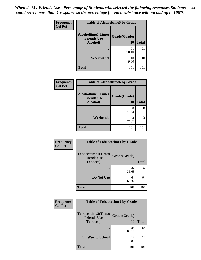| Frequency      | <b>Table of Alcoholtime5 by Grade</b>           |              |              |
|----------------|-------------------------------------------------|--------------|--------------|
| <b>Col Pct</b> | <b>Alcoholtime5(Times</b><br><b>Friends Use</b> | Grade(Grade) |              |
|                | Alcohol)                                        | 10           | <b>Total</b> |
|                |                                                 | 91<br>90.10  | 91           |
|                | Weeknights                                      | 10<br>9.90   | 10           |
|                | <b>Total</b>                                    | 101          | 101          |

| Frequency      | <b>Table of Alcoholtime6 by Grade</b>           |              |              |
|----------------|-------------------------------------------------|--------------|--------------|
| <b>Col Pct</b> | <b>Alcoholtime6(Times</b><br><b>Friends Use</b> | Grade(Grade) |              |
|                | Alcohol)                                        | <b>10</b>    | <b>Total</b> |
|                |                                                 | 58<br>57.43  | 58           |
|                | Weekends                                        | 43<br>42.57  | 43           |
|                | <b>Total</b>                                    | 101          | 101          |

| Frequency      | <b>Table of Tobaccotime1 by Grade</b>           |              |              |
|----------------|-------------------------------------------------|--------------|--------------|
| <b>Col Pct</b> | <b>Tobaccotime1(Times</b><br><b>Friends Use</b> | Grade(Grade) |              |
|                | <b>Tobacco</b> )                                | <b>10</b>    | <b>Total</b> |
|                |                                                 | 37<br>36.63  | 37           |
|                | Do Not Use                                      | 64<br>63.37  | 64           |
|                | <b>Total</b>                                    | 101          | 101          |

| Frequency      | <b>Table of Tobaccotime2 by Grade</b>           |              |              |
|----------------|-------------------------------------------------|--------------|--------------|
| <b>Col Pct</b> | <b>Tobaccotime2(Times</b><br><b>Friends Use</b> | Grade(Grade) |              |
|                | <b>Tobacco</b> )                                | 10           | <b>Total</b> |
|                |                                                 | 84<br>83.17  | 84           |
|                | <b>On Way to School</b>                         | 17<br>16.83  | 17           |
|                | <b>Total</b>                                    | 101          | 101          |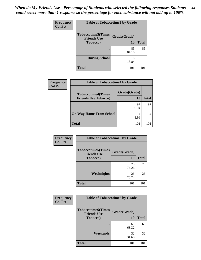| Frequency      | <b>Table of Tobaccotime3 by Grade</b>           |              |              |
|----------------|-------------------------------------------------|--------------|--------------|
| <b>Col Pct</b> | <b>Tobaccotime3(Times</b><br><b>Friends Use</b> | Grade(Grade) |              |
|                | <b>Tobacco</b> )                                | <b>10</b>    | <b>Total</b> |
|                |                                                 | 85<br>84.16  | 85           |
|                | <b>During School</b>                            | 16<br>15.84  | 16           |
|                | <b>Total</b>                                    | 101          | 101          |

| <b>Frequency</b><br><b>Col Pct</b> | <b>Table of Tobaccotime4 by Grade</b>                    |                    |              |
|------------------------------------|----------------------------------------------------------|--------------------|--------------|
|                                    | <b>Tobaccotime4(Times</b><br><b>Friends Use Tobacco)</b> | Grade(Grade)<br>10 | <b>Total</b> |
|                                    |                                                          | 97<br>96.04        | 97           |
|                                    | <b>On Way Home From School</b>                           | 3.96               |              |
|                                    | <b>Total</b>                                             | 101                | 101          |

| Frequency      | <b>Table of Tobaccotime5 by Grade</b>           |              |              |
|----------------|-------------------------------------------------|--------------|--------------|
| <b>Col Pct</b> | <b>Tobaccotime5(Times</b><br><b>Friends Use</b> | Grade(Grade) |              |
|                | <b>Tobacco</b> )                                | 10           | <b>Total</b> |
|                |                                                 | 75<br>74.26  | 75           |
|                | Weeknights                                      | 26<br>25.74  | 26           |
|                | <b>Total</b>                                    | 101          | 101          |

| <b>Frequency</b> | <b>Table of Tobaccotime6 by Grade</b>           |              |              |
|------------------|-------------------------------------------------|--------------|--------------|
| <b>Col Pct</b>   | <b>Tobaccotime6(Times</b><br><b>Friends Use</b> | Grade(Grade) |              |
|                  | <b>Tobacco</b> )                                | <b>10</b>    | <b>Total</b> |
|                  |                                                 | 69<br>68.32  | 69           |
|                  | Weekends                                        | 32<br>31.68  | 32           |
|                  | <b>Total</b>                                    | 101          | 101          |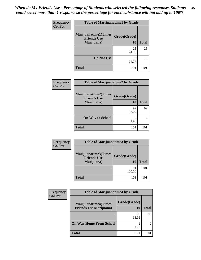| Frequency      | <b>Table of Marijuanatime1 by Grade</b>           |              |              |
|----------------|---------------------------------------------------|--------------|--------------|
| <b>Col Pct</b> | <b>Marijuanatime1(Times</b><br><b>Friends Use</b> | Grade(Grade) |              |
|                | Marijuana)                                        | 10           | <b>Total</b> |
|                |                                                   | 25<br>24.75  | 25           |
|                | Do Not Use                                        | 76<br>75.25  | 76           |
|                | <b>Total</b>                                      | 101          | 101          |

| <b>Frequency</b><br><b>Col Pct</b> | <b>Table of Marijuanatime2 by Grade</b>            |                        |               |
|------------------------------------|----------------------------------------------------|------------------------|---------------|
|                                    | <b>Marijuanatime2</b> (Times<br><b>Friends Use</b> | Grade(Grade)           |               |
|                                    | Marijuana)                                         | 10                     | <b>Total</b>  |
|                                    |                                                    | 99<br>98.02            | 99            |
|                                    | <b>On Way to School</b>                            | $\mathfrak{D}$<br>1.98 | $\mathcal{L}$ |
|                                    | <b>Total</b>                                       | 101                    | 101           |

| Frequency      | <b>Table of Marijuanatime3 by Grade</b>                  |                    |              |
|----------------|----------------------------------------------------------|--------------------|--------------|
| <b>Col Pct</b> | Marijuanatime3(Times<br><b>Friends Use</b><br>Marijuana) | Grade(Grade)<br>10 | <b>Total</b> |
|                |                                                          | 101<br>100.00      | 101          |
|                | <b>Total</b>                                             | 101                | 101          |

| Frequency      | <b>Table of Marijuanatime4 by Grade</b>                       |                           |                |
|----------------|---------------------------------------------------------------|---------------------------|----------------|
| <b>Col Pct</b> | <b>Marijuanatime4(Times</b><br><b>Friends Use Marijuana</b> ) | Grade(Grade)<br><b>10</b> | <b>Total</b>   |
|                |                                                               | 99<br>98.02               | 99             |
|                | <b>On Way Home From School</b>                                | $\mathfrak{D}$<br>1.98    | $\mathfrak{D}$ |
|                | <b>Total</b>                                                  | 101                       | 101            |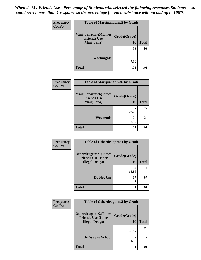| Frequency      | <b>Table of Marijuanatime5 by Grade</b>            |              |              |
|----------------|----------------------------------------------------|--------------|--------------|
| <b>Col Pct</b> | <b>Marijuanatime5</b> (Times<br><b>Friends Use</b> | Grade(Grade) |              |
|                | Marijuana)                                         | 10           | <b>Total</b> |
|                |                                                    | 93<br>92.08  | 93           |
|                | <b>Weeknights</b>                                  | 8<br>7.92    | 8            |
|                | <b>Total</b>                                       | 101          |              |

| Frequency      | <b>Table of Marijuanatime6 by Grade</b>           |              |              |
|----------------|---------------------------------------------------|--------------|--------------|
| <b>Col Pct</b> | <b>Marijuanatime6(Times</b><br><b>Friends Use</b> | Grade(Grade) |              |
|                | Marijuana)                                        | <b>10</b>    | <b>Total</b> |
|                |                                                   | 77<br>76.24  | 77           |
|                | Weekends                                          | 24<br>23.76  | 24           |
|                | <b>Total</b>                                      | 101          | 101          |

| Frequency      | <b>Table of Otherdrugtime1 by Grade</b>                  |              |              |
|----------------|----------------------------------------------------------|--------------|--------------|
| <b>Col Pct</b> | <b>Otherdrugtime1</b> (Times<br><b>Friends Use Other</b> | Grade(Grade) |              |
|                | <b>Illegal Drugs</b> )                                   | 10           | <b>Total</b> |
|                |                                                          | 14<br>13.86  | 14           |
|                | Do Not Use                                               | 87<br>86.14  | 87           |
|                | <b>Total</b>                                             | 101          | 101          |

| <b>Frequency</b> | <b>Table of Otherdrugtime2 by Grade</b>                                           |                    |                |
|------------------|-----------------------------------------------------------------------------------|--------------------|----------------|
| <b>Col Pct</b>   | <b>Otherdrugtime2(Times</b><br><b>Friends Use Other</b><br><b>Illegal Drugs</b> ) | Grade(Grade)<br>10 | <b>Total</b>   |
|                  |                                                                                   | 99<br>98.02        | 99             |
|                  | <b>On Way to School</b>                                                           | 2<br>1.98          | $\mathfrak{D}$ |
|                  | <b>Total</b>                                                                      | 101                | 101            |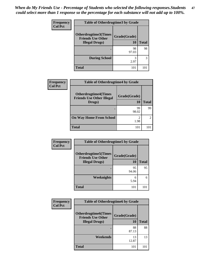| <b>Frequency</b> | <b>Table of Otherdrugtime3 by Grade</b>                  |              |              |
|------------------|----------------------------------------------------------|--------------|--------------|
| <b>Col Pct</b>   | <b>Otherdrugtime3</b> (Times<br><b>Friends Use Other</b> | Grade(Grade) |              |
|                  | <b>Illegal Drugs</b> )                                   | 10           | <b>Total</b> |
|                  |                                                          | 98<br>97.03  | 98           |
|                  | <b>During School</b>                                     | 3<br>2.97    | 3            |
|                  | <b>Total</b>                                             | 101          |              |

| Frequency      | <b>Table of Otherdrugtime4 by Grade</b>                                   |                        |                |  |
|----------------|---------------------------------------------------------------------------|------------------------|----------------|--|
| <b>Col Pct</b> | <b>Otherdrugtime4(Times</b><br><b>Friends Use Other Illegal</b><br>Drugs) | Grade(Grade)<br>10     | <b>Total</b>   |  |
|                |                                                                           | 99<br>98.02            | 99             |  |
|                | <b>On Way Home From School</b>                                            | $\mathfrak{D}$<br>1.98 | $\mathfrak{D}$ |  |
|                | <b>Total</b>                                                              | 101                    | 101            |  |

| Frequency | <b>Table of Otherdrugtime5 by Grade</b>                 |              |              |
|-----------|---------------------------------------------------------|--------------|--------------|
| Col Pct   | <b>Otherdrugtime5(Times</b><br><b>Friends Use Other</b> | Grade(Grade) |              |
|           | <b>Illegal Drugs</b> )                                  | 10           | <b>Total</b> |
|           |                                                         | 95<br>94.06  | 95           |
|           | <b>Weeknights</b>                                       | 6<br>5.94    | 6            |
|           | <b>Total</b>                                            | 101          | 101          |

| <b>Frequency</b> | <b>Table of Otherdrugtime6 by Grade</b>                                           |                    |              |
|------------------|-----------------------------------------------------------------------------------|--------------------|--------------|
| <b>Col Pct</b>   | <b>Otherdrugtime6(Times</b><br><b>Friends Use Other</b><br><b>Illegal Drugs</b> ) | Grade(Grade)<br>10 | <b>Total</b> |
|                  |                                                                                   | 88<br>87.13        | 88           |
|                  | Weekends                                                                          | 13<br>12.87        | 13           |
|                  | Total                                                                             | 101                | 101          |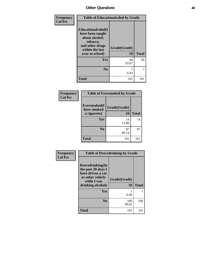| Frequency      | <b>Table of Educationalcohol by Grade</b>                                                                                     |                    |              |
|----------------|-------------------------------------------------------------------------------------------------------------------------------|--------------------|--------------|
| <b>Col Pct</b> | Educationalcohol(I<br>have been taught<br>about alcohol,<br>tobacco,<br>and other drugs<br>within the last<br>year at school) | Grade(Grade)<br>10 | <b>Total</b> |
|                | Yes                                                                                                                           | 94<br>93.07        | 94           |
|                | N <sub>0</sub>                                                                                                                | 7<br>6.93          | 7            |
|                | <b>Total</b>                                                                                                                  | 101                | 101          |

| Frequency      | <b>Table of Eversmoked by Grade</b> |              |              |
|----------------|-------------------------------------|--------------|--------------|
| <b>Col Pct</b> | Eversmoked(I<br>have smoked         | Grade(Grade) |              |
|                | a cigarette)                        | 10           | <b>Total</b> |
|                | Yes                                 | 14<br>13.86  | 14           |
|                | N <sub>0</sub>                      | 87<br>86.14  | 87           |
|                | <b>Total</b>                        | 101          | 101          |

| Frequency      | <b>Table of Drovedrinking by Grade</b>                                                                              |                    |              |
|----------------|---------------------------------------------------------------------------------------------------------------------|--------------------|--------------|
| <b>Col Pct</b> | Drovedrinking(In<br>the past 30 days I<br>have driven a car<br>or other vehicle<br>while I was<br>drinking alcohol) | Grade(Grade)<br>10 | <b>Total</b> |
|                | <b>Yes</b>                                                                                                          | 0.99               |              |
|                | N <sub>0</sub>                                                                                                      | 100<br>99.01       | 100          |
|                | <b>Total</b>                                                                                                        | 101                | 101          |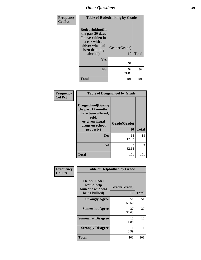| Frequency      | <b>Table of Rodedrinking by Grade</b>                                                                                  |                    |              |
|----------------|------------------------------------------------------------------------------------------------------------------------|--------------------|--------------|
| <b>Col Pct</b> | Rodedrinking(In<br>the past 30 days<br>I have ridden in<br>a car with a<br>driver who had<br>been drinking<br>alcohol) | Grade(Grade)<br>10 | <b>Total</b> |
|                | Yes                                                                                                                    | 9<br>8.91          | 9            |
|                | N <sub>0</sub>                                                                                                         | 92<br>91.09        | 92           |
|                | <b>Total</b>                                                                                                           | 101                | 101          |

### **Frequency Col Pct**

| <b>Table of Drugsschool by Grade</b>                                                                                      |              |              |  |  |  |  |
|---------------------------------------------------------------------------------------------------------------------------|--------------|--------------|--|--|--|--|
| <b>Drugsschool</b> (During<br>the past 12 months,<br>I have been offered,<br>sold,<br>or given illegal<br>drugs on school | Grade(Grade) |              |  |  |  |  |
| property)                                                                                                                 | 10           | <b>Total</b> |  |  |  |  |
| Yes                                                                                                                       | 18<br>17.82  | 18           |  |  |  |  |
| N <sub>0</sub>                                                                                                            |              | 83           |  |  |  |  |
|                                                                                                                           | 83<br>82.18  |              |  |  |  |  |

| Frequency      |                                                                     | <b>Table of Helpbullied by Grade</b> |              |
|----------------|---------------------------------------------------------------------|--------------------------------------|--------------|
| <b>Col Pct</b> | $Helpb$ ullied(I<br>would help<br>someone who was<br>being bullied) | Grade(Grade)<br>10                   | <b>Total</b> |
|                | <b>Strongly Agree</b>                                               | 51<br>50.50                          | 51           |
|                | <b>Somewhat Agree</b>                                               | 37<br>36.63                          | 37           |
|                | <b>Somewhat Disagree</b>                                            | 12<br>11.88                          | 12           |
|                | <b>Strongly Disagree</b>                                            | 0.99                                 |              |
|                | <b>Total</b>                                                        | 101                                  | 101          |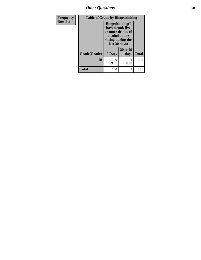*Other Questions* **50**

| Frequency      | <b>Table of Grade by Bingedrinking</b> |                                                                                                                          |                  |              |  |  |
|----------------|----------------------------------------|--------------------------------------------------------------------------------------------------------------------------|------------------|--------------|--|--|
| <b>Row Pct</b> |                                        | <b>Bingedrinking</b> (I<br>have drunk five<br>or more drinks of<br>alcohol at one<br>sitting during the<br>last 30 days) |                  |              |  |  |
|                | Grade(Grade)                           | 0 Days                                                                                                                   | 20 to 29<br>days | <b>Total</b> |  |  |
|                | 10                                     | 100<br>99.01                                                                                                             | 0.99             | 101          |  |  |
|                | <b>Total</b>                           | 100                                                                                                                      |                  | 101          |  |  |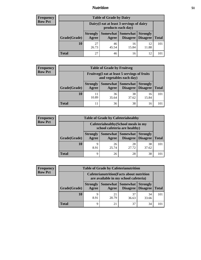## *Nutrition* **51**

## **Frequency Row Pct**

| <b>Table of Grade by Dairy</b> |                          |                                                                 |                                        |                                    |              |  |
|--------------------------------|--------------------------|-----------------------------------------------------------------|----------------------------------------|------------------------------------|--------------|--|
|                                |                          | Dairy (I eat at least 3 servings of dairy<br>products each day) |                                        |                                    |              |  |
| Grade(Grade)                   | <b>Strongly</b><br>Agree | Agree                                                           | <b>Somewhat   Somewhat</b><br>Disagree | <b>Strongly</b><br><b>Disagree</b> | <b>Total</b> |  |
| 10                             | 27<br>26.73              | 46<br>45.54                                                     | 16<br>15.84                            | 12<br>11.88                        | 101          |  |
| <b>Total</b>                   | 27                       | 46                                                              | 16                                     | 12                                 |              |  |

## **Frequency Row Pct**

| y | <b>Table of Grade by Fruitveg</b> |                          |                                                                          |                                            |                 |              |  |  |
|---|-----------------------------------|--------------------------|--------------------------------------------------------------------------|--------------------------------------------|-----------------|--------------|--|--|
|   |                                   |                          | Fruitveg(I eat at least 5 servings of fruits<br>and vegetables each day) |                                            |                 |              |  |  |
|   | Grade(Grade)                      | <b>Strongly</b><br>Agree | Agree                                                                    | Somewhat   Somewhat<br>Disagree   Disagree | <b>Strongly</b> | <b>Total</b> |  |  |
|   | 10                                | 11<br>10.89              | 36<br>35.64                                                              | 38<br>37.62                                | 16<br>15.84     | 101          |  |  |
|   | Total                             | 11                       | 36                                                                       | 38                                         | 16              | 101          |  |  |

### **Frequency Row Pct**

| y | <b>Table of Grade by Cafeteriahealthy</b> |                          |                                                                       |                   |                                               |              |  |
|---|-------------------------------------------|--------------------------|-----------------------------------------------------------------------|-------------------|-----------------------------------------------|--------------|--|
|   |                                           |                          | Cafeteriahealthy (School meals in my<br>school cafeteria are healthy) |                   |                                               |              |  |
|   | Grade(Grade)                              | <b>Strongly</b><br>Agree | Agree                                                                 | Somewhat Somewhat | <b>Strongly</b><br><b>Disagree</b>   Disagree | <b>Total</b> |  |
|   | 10                                        | 9<br>8.91                | 26<br>25.74                                                           | 28<br>27.72       | 38<br>37.62                                   | 101          |  |
|   | <b>Total</b>                              | Q                        | 26                                                                    | 28                | 38                                            | 101          |  |

### **Frequency Row Pct**

٦ **II** 

| <b>Table of Grade by Cafeterianutrition</b> |                                                                                           |             |                     |                                        |              |
|---------------------------------------------|-------------------------------------------------------------------------------------------|-------------|---------------------|----------------------------------------|--------------|
|                                             | <b>Cafeterianutrition</b> (Facts about nutrition<br>are available in my school cafeteria) |             |                     |                                        |              |
| Grade(Grade)                                | <b>Strongly</b><br>Agree                                                                  | Agree       | Somewhat   Somewhat | <b>Strongly</b><br>Disagree   Disagree | <b>Total</b> |
| 10                                          | 8.91                                                                                      | 21<br>20.79 | 37<br>36.63         | 34<br>33.66                            | 101          |
| <b>Total</b>                                | Q                                                                                         | 21          | 37                  | 34                                     | 101          |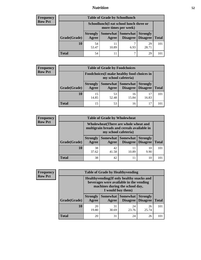## *Nutrition* **52**

## **Frequency Row Pct**

| <b>Table of Grade by Schoollunch</b> |                          |                                                                 |                     |                                        |              |  |
|--------------------------------------|--------------------------|-----------------------------------------------------------------|---------------------|----------------------------------------|--------------|--|
|                                      |                          | Schoollunch(I eat school lunch three or<br>more times per week) |                     |                                        |              |  |
| Grade(Grade)                         | <b>Strongly</b><br>Agree | Agree                                                           | Somewhat   Somewhat | <b>Strongly</b><br>Disagree   Disagree | <b>Total</b> |  |
| 10                                   | 54<br>53.47              | 11<br>10.89                                                     | 6.93                | 29<br>28.71                            | 101          |  |
| <b>Total</b>                         | 54                       | 11                                                              | ⇁                   | 29                                     |              |  |

## **Frequency Row Pct**

| y | <b>Table of Grade by Foodchoices</b> |                                                                     |                     |                 |                                        |              |
|---|--------------------------------------|---------------------------------------------------------------------|---------------------|-----------------|----------------------------------------|--------------|
|   |                                      | Foodchoices (I make healthy food choices in<br>my school cafeteria) |                     |                 |                                        |              |
|   | Grade(Grade)                         | <b>Strongly</b><br>Agree                                            | Somewhat  <br>Agree | <b>Somewhat</b> | <b>Strongly</b><br>Disagree   Disagree | <b>Total</b> |
|   | 10                                   | 15<br>14.85                                                         | 53<br>52.48         | 16<br>15.84     | 17<br>16.83                            | 101          |
|   | <b>Total</b>                         | 15                                                                  | 53                  | 16              | 17                                     | 101          |

### **Frequency Row Pct**

| $\mathbf{c}\mathbf{v}$ | <b>Table of Grade by Wholewheat</b> |                          |                                                                                                             |                                              |                 |              |  |
|------------------------|-------------------------------------|--------------------------|-------------------------------------------------------------------------------------------------------------|----------------------------------------------|-----------------|--------------|--|
|                        |                                     |                          | Wholewheat (There are whole wheat and<br>multigrain breads and cereals available in<br>my school cafeteria) |                                              |                 |              |  |
|                        | Grade(Grade)                        | <b>Strongly</b><br>Agree | Agree                                                                                                       | Somewhat   Somewhat  <br>Disagree   Disagree | <b>Strongly</b> | <b>Total</b> |  |
|                        | 10                                  | 38<br>37.62              | 42<br>41.58                                                                                                 | 11<br>10.89                                  | 10<br>9.90      | 101          |  |
|                        | <b>Total</b>                        | 38                       | 42                                                                                                          | 11                                           | 10              |              |  |

### **Frequency Row Pct**

| y |              |                          | <b>Table of Grade by Healthyvending</b>                                                                                                       |                               |                                    |              |  |
|---|--------------|--------------------------|-----------------------------------------------------------------------------------------------------------------------------------------------|-------------------------------|------------------------------------|--------------|--|
|   |              |                          | Healthyvending (If only healthy snacks and<br>beverages were available in the vending<br>machines during the school day,<br>I would buy them) |                               |                                    |              |  |
|   | Grade(Grade) | <b>Strongly</b><br>Agree | Agree                                                                                                                                         | Somewhat Somewhat<br>Disagree | <b>Strongly</b><br><b>Disagree</b> | <b>Total</b> |  |
|   | 10           | 20<br>19.80              | 31<br>30.69                                                                                                                                   | 24<br>23.76                   | 26<br>25.74                        | 101          |  |
|   | <b>Total</b> | 20                       | 31                                                                                                                                            | 24                            | 26                                 | 101          |  |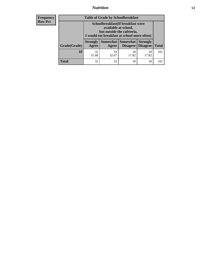# *Nutrition* **53**

| <b>Frequency</b> |
|------------------|
| - Row Pct        |

| <b>Table of Grade by Schoolbreakfast</b> |                                                                                                                                         |             |                               |                                    |              |
|------------------------------------------|-----------------------------------------------------------------------------------------------------------------------------------------|-------------|-------------------------------|------------------------------------|--------------|
|                                          | Schoolbreakfast (If breakfast were<br>available at school,<br>but outside the cafeteria,<br>I would eat breakfast at school more often) |             |                               |                                    |              |
| Grade(Grade)                             | <b>Strongly</b><br>Agree                                                                                                                | Agree       | Somewhat Somewhat<br>Disagree | <b>Strongly</b><br><b>Disagree</b> | <b>Total</b> |
| 10                                       | 32<br>31.68                                                                                                                             | 33<br>32.67 | 18<br>17.82                   | 18<br>17.82                        | 101          |
| <b>Total</b>                             | 32                                                                                                                                      | 33          | 18                            | 18                                 | 101          |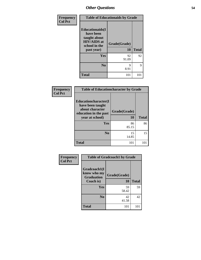| Frequency      |                                                                                                           | <b>Table of Educationaids by Grade</b> |              |
|----------------|-----------------------------------------------------------------------------------------------------------|----------------------------------------|--------------|
| <b>Col Pct</b> | <b>Educationaids</b> (I<br>have been<br>taught about<br><b>HIV/AIDS</b> at<br>school in the<br>past year) | Grade(Grade)<br>10                     | <b>Total</b> |
|                | Yes                                                                                                       | 92<br>91.09                            | 92           |
|                | N <sub>0</sub>                                                                                            | 9<br>8.91                              | 9            |
|                | <b>Total</b>                                                                                              | 101                                    | 101          |

| Frequency<br><b>Col Pct</b> | <b>Table of Educationcharacter by Grade</b>                                                             |                    |              |
|-----------------------------|---------------------------------------------------------------------------------------------------------|--------------------|--------------|
|                             | Educationcharacter(I<br>have been taught<br>about character<br>education in the past<br>year at school) | Grade(Grade)<br>10 | <b>Total</b> |
|                             | <b>Yes</b>                                                                                              | 86<br>85.15        | 86           |
|                             | N <sub>0</sub>                                                                                          | 15<br>14.85        | 15           |
|                             | <b>Total</b>                                                                                            | 101                | 101          |

| Frequency      | <b>Table of Gradcoach1 by Grade</b>                           |                    |              |
|----------------|---------------------------------------------------------------|--------------------|--------------|
| <b>Col Pct</b> | Gradcoach1(I<br>know who my<br><b>Graduation</b><br>Coach is) | Grade(Grade)<br>10 | <b>Total</b> |
|                |                                                               |                    |              |
|                | Yes                                                           | 59<br>58.42        | 59           |
|                | N <sub>0</sub>                                                | 42<br>41.58        | 42           |
|                | <b>Total</b>                                                  | 101                | 101          |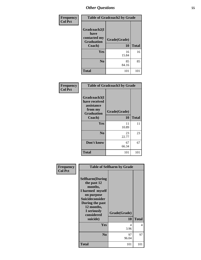| Frequency      |                                                                     | <b>Table of Gradcoach2 by Grade</b> |              |  |
|----------------|---------------------------------------------------------------------|-------------------------------------|--------------|--|
| <b>Col Pct</b> | Gradcoach2(I<br>have<br>contacted my<br><b>Graduation</b><br>Coach) | Grade(Grade)<br>10                  | <b>Total</b> |  |
|                | Yes                                                                 | 16<br>15.84                         | 16           |  |
|                | N <sub>0</sub>                                                      | 85<br>84.16                         | 85           |  |
|                | <b>Total</b>                                                        | 101                                 | $10^{\circ}$ |  |

| Frequency      | <b>Table of Gradcoach3 by Grade</b>                                                   |                           |              |
|----------------|---------------------------------------------------------------------------------------|---------------------------|--------------|
| <b>Col Pct</b> | Gradcoach3(I<br>have received<br>assistance<br>from my<br><b>Graduation</b><br>Coach) | Grade(Grade)<br><b>10</b> | <b>Total</b> |
|                | Yes                                                                                   | 11<br>10.89               | 11           |
|                | N <sub>0</sub>                                                                        | 23<br>22.77               | 23           |
|                | Don't know                                                                            | 67<br>66.34               | 67           |
|                | <b>Total</b>                                                                          | 101                       | 101          |

| Frequency      |                                                                                                                                                                                 | <b>Table of Selfharm by Grade</b> |              |
|----------------|---------------------------------------------------------------------------------------------------------------------------------------------------------------------------------|-----------------------------------|--------------|
| <b>Col Pct</b> | <b>Selfharm</b> (During<br>the past 12<br>months,<br>I harmed myself<br>on purpose<br>Suicideconsider<br>During the past<br>12 months,<br>I seriously<br>considered<br>suicide) | Grade(Grade)<br>10                | <b>Total</b> |
|                | Yes                                                                                                                                                                             | 4<br>3.96                         | 4            |
|                | N <sub>0</sub>                                                                                                                                                                  | 97<br>96.04                       | 97           |
|                | <b>Total</b>                                                                                                                                                                    | 101                               | 101          |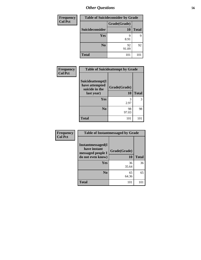| <b>Frequency</b> |                 | <b>Table of Suicideconsider by Grade</b> |              |  |
|------------------|-----------------|------------------------------------------|--------------|--|
| <b>Col Pct</b>   |                 | Grade(Grade)                             |              |  |
|                  | Suicideconsider | 10                                       | <b>Total</b> |  |
|                  | <b>Yes</b>      | 9<br>8.91                                | 9            |  |
|                  | N <sub>0</sub>  | 92<br>91.09                              | 92           |  |
|                  | <b>Total</b>    | 101                                      | 101          |  |

| <b>Frequency</b> | <b>Table of Suicideattempt by Grade</b>              |              |              |
|------------------|------------------------------------------------------|--------------|--------------|
| <b>Col Pct</b>   | Suicideattempt(I<br>have attempted<br>suicide in the | Grade(Grade) |              |
|                  | last year)                                           | 10           | <b>Total</b> |
|                  | <b>Yes</b>                                           | 3<br>2.97    | 3            |
|                  | N <sub>0</sub>                                       | 98<br>97.03  | 98           |
|                  | <b>Total</b>                                         | 101          | 101          |

| <b>Frequency</b> | <b>Table of Instantmessaged by Grade</b>                                    |                    |              |
|------------------|-----------------------------------------------------------------------------|--------------------|--------------|
| <b>Col Pct</b>   | Instantmessaged(I<br>have instant<br>messaged people I<br>do not even know) | Grade(Grade)<br>10 | <b>Total</b> |
|                  | <b>Yes</b>                                                                  | 36<br>35.64        | 36           |
|                  | N <sub>0</sub>                                                              | 65<br>64.36        | 65           |
|                  | <b>Total</b>                                                                | 101                | 101          |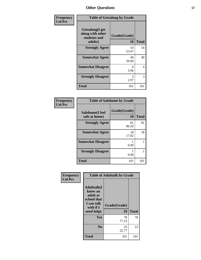| Frequency      | <b>Table of Getsalong by Grade</b>                             |                    |              |
|----------------|----------------------------------------------------------------|--------------------|--------------|
| <b>Col Pct</b> | Getsalong(I get<br>along with other<br>students and<br>adults) | Grade(Grade)<br>10 | <b>Total</b> |
|                | <b>Strongly Agree</b>                                          | 54<br>53.47        | 54           |
|                | <b>Somewhat Agree</b>                                          | 40<br>39.60        | 40           |
|                | <b>Somewhat Disagree</b>                                       | 4<br>3.96          | 4            |
|                | <b>Strongly Disagree</b>                                       | 3<br>2.97          | 3            |
|                | <b>Total</b>                                                   | 101                | 101          |

| <b>Frequency</b> |  |
|------------------|--|
| Col Pct          |  |

f

| <b>Table of Safehome by Grade</b> |                    |              |  |  |  |
|-----------------------------------|--------------------|--------------|--|--|--|
| Safehome(I feel<br>safe at home)  | Grade(Grade)<br>10 | <b>Total</b> |  |  |  |
| <b>Strongly Agree</b>             | 81<br>80.20        | 81           |  |  |  |
| <b>Somewhat Agree</b>             | 18<br>17.82        | 18           |  |  |  |
| <b>Somewhat Disagree</b>          | 0.99               |              |  |  |  |
| <b>Strongly Disagree</b>          | 0.99               |              |  |  |  |
| <b>Total</b>                      | 101                | 101          |  |  |  |

| Frequency      |                                                                                                   | <b>Table of Adulttalk by Grade</b> |              |
|----------------|---------------------------------------------------------------------------------------------------|------------------------------------|--------------|
| <b>Col Pct</b> | <b>Adulttalk(I</b><br>know an<br>adult at<br>school that<br>I can talk<br>with if I<br>need help) | Grade(Grade)<br>10                 | <b>Total</b> |
|                | <b>Yes</b>                                                                                        | 78<br>77.23                        | 78           |
|                | N <sub>0</sub>                                                                                    | 23<br>22.77                        | 23           |
|                | <b>Total</b>                                                                                      | 101                                | 101          |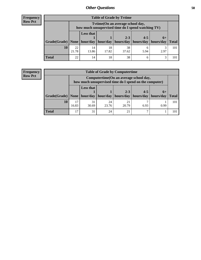## **Frequency Row Pct**

| <b>Table of Grade by Tytime</b>                                                           |             |                                                                                         |             |             |           |           |              |  |
|-------------------------------------------------------------------------------------------|-------------|-----------------------------------------------------------------------------------------|-------------|-------------|-----------|-----------|--------------|--|
|                                                                                           |             | Tvtime (On an average school day,<br>how much unsupervised time do I spend watching TV) |             |             |           |           |              |  |
| $Grade(Grade)$ None   hour/day   hour/day   hours/day   hours/day   hours/day   hours/day |             | <b>Less that</b>                                                                        |             | $2 - 3$     | $4 - 5$   | $6+$      | <b>Total</b> |  |
| 10                                                                                        | 22<br>21.78 | 14<br>13.86                                                                             | 18<br>17.82 | 38<br>37.62 | 6<br>5.94 | ⌒<br>2.97 | 101          |  |
| <b>Total</b>                                                                              | 22          | 14                                                                                      | 18          | 38          | 6         |           |              |  |

### **Frequency Row Pct**

| <b>Table of Grade by Computertime</b> |             |                                                                                                   |             |                      |                      |                   |       |  |
|---------------------------------------|-------------|---------------------------------------------------------------------------------------------------|-------------|----------------------|----------------------|-------------------|-------|--|
|                                       |             | Computertime (On an average school day,<br>how much unsupervised time do I spend on the computer) |             |                      |                      |                   |       |  |
| Grade(Grade)   None                   |             | <b>Less that</b><br>hour/day                                                                      | hour/day    | $2 - 3$<br>hours/day | $4 - 5$<br>hours/day | $6+$<br>hours/day | Total |  |
| 10                                    | 17<br>16.83 | 31<br>30.69                                                                                       | 24<br>23.76 | 21<br>20.79          | 6.93                 | 0.99              | 101   |  |
| <b>Total</b>                          | 17          | 31                                                                                                | 24          | 21                   |                      |                   | 101   |  |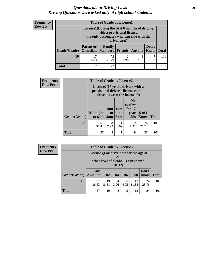## *Questions about Driving Laws* **59** *Driving Questions were asked only of high school students.*

| <b>Frequency</b> |
|------------------|
| <b>Row Pct</b>   |

| <b>Table of Grade by License1</b> |                  |                                                                                                                                           |                |           |                      |              |  |  |
|-----------------------------------|------------------|-------------------------------------------------------------------------------------------------------------------------------------------|----------------|-----------|----------------------|--------------|--|--|
|                                   |                  | License1(During the first 6 months of driving<br>with a provisional license,<br>the only passengers who can ride with the<br>driver are:) |                |           |                      |              |  |  |
| <b>Grade</b> (Grade)              | <b>Parent or</b> | <b>Family</b><br><b>Guardian   Members   Friends  </b>                                                                                    |                | Anyone    | Don't<br><b>Know</b> | <b>Total</b> |  |  |
| 10                                | 16.83            | 72<br>71.29                                                                                                                               | 2<br>1.98      | 3<br>2.97 | 6.93                 | 101          |  |  |
| <b>Total</b>                      |                  | 72                                                                                                                                        | $\mathfrak{D}$ | 3         | 7                    |              |  |  |

| <b>Frequency</b> | <b>Table of Grade by License2</b> |                           |                                                                                                                      |                         |                                                      |               |              |  |  |
|------------------|-----------------------------------|---------------------------|----------------------------------------------------------------------------------------------------------------------|-------------------------|------------------------------------------------------|---------------|--------------|--|--|
| <b>Row Pct</b>   |                                   |                           | License $2(17 \text{ yr})$ old drivers with a<br>provisional driver's license cannot<br>drive between the hours of:) |                         |                                                      |               |              |  |  |
|                  | Grade(Grade)                      | <b>Midnight</b><br>to 6am | 1am<br>to<br>5am                                                                                                     | 1am<br>to<br><b>6am</b> | N <sub>0</sub><br>curfew<br>for $17$<br>year<br>olds | Don't<br>Know | <b>Total</b> |  |  |
|                  | 10                                | 57<br>56.44               | 8<br>7.92                                                                                                            | 0.99                    | 9<br>8.91                                            | 26<br>25.74   | 101          |  |  |
|                  | <b>Total</b>                      | 57                        | 8                                                                                                                    | 1                       | 9                                                    | 26            | 101          |  |  |

| <b>Frequency</b> | <b>Table of Grade by License3</b> |                      |                                                                                                 |           |      |             |               |              |  |
|------------------|-----------------------------------|----------------------|-------------------------------------------------------------------------------------------------|-----------|------|-------------|---------------|--------------|--|
| <b>Row Pct</b>   |                                   |                      | License3(For drivers under the age of<br>21,<br>what level of alcohol is considered<br>$DUI$ ?) |           |      |             |               |              |  |
|                  | Grade(Grade)                      | Any<br><b>Amount</b> | 0.02                                                                                            | 0.04      | 0.06 | 0.08        | Don't<br>know | <b>Total</b> |  |
|                  | 10                                | 37<br>36.63          | 19<br>18.81                                                                                     | 4<br>3.96 | 4.95 | 12<br>11.88 | 24<br>23.76   | 101          |  |
|                  | <b>Total</b>                      | 37                   | 19                                                                                              | 4         | 5    | 12          | 24            | 101          |  |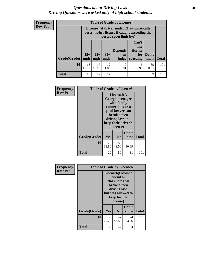## *Questions about Driving Laws* **60** *Driving Questions were asked only of high school students.*

| <b>Frequency</b> |
|------------------|
| <b>Row Pct</b>   |

| <b>Table of Grade by License4</b> |              |                                                                                                                      |              |                               |                                             |                   |              |  |
|-----------------------------------|--------------|----------------------------------------------------------------------------------------------------------------------|--------------|-------------------------------|---------------------------------------------|-------------------|--------------|--|
|                                   |              | License4(A driver under 21 automatically<br>loses his/her license if caught exceeding the<br>posted speet limit by:) |              |                               |                                             |                   |              |  |
| Grade(Grade)                      | $15+$<br>mph | $25+$<br>mph                                                                                                         | $35+$<br>mph | <b>Depends</b><br>on<br>judge | Can't<br>lose<br>license<br>for<br>speeding | $ $ Don't<br>know | <b>Total</b> |  |
| 10                                | 18<br>17.82  | 17<br>16.83                                                                                                          | 12<br>11.88  | 9<br>8.91                     | 6<br>5.94                                   | 39<br>38.61       | 101          |  |
| <b>Total</b>                      | 18           | 17                                                                                                                   | 12           | 9                             | 6                                           | 39                | 101          |  |

| Frequency      | <b>Table of Grade by License5</b> |                                                                                                                                                             |                |               |              |
|----------------|-----------------------------------|-------------------------------------------------------------------------------------------------------------------------------------------------------------|----------------|---------------|--------------|
| <b>Row Pct</b> |                                   | License5(A)<br>Georgia teenager<br>with family<br>connections or a<br>good lawyer can<br>break a teen<br>driving law and<br>keep their driver's<br>license) |                |               |              |
|                | Grade(Grade)                      | Yes                                                                                                                                                         | N <sub>0</sub> | Don't<br>know | <b>Total</b> |
|                | 10                                | 20<br>19.80                                                                                                                                                 | 50<br>49.50    | 31<br>30.69   | 101          |
|                | <b>Total</b>                      | 20                                                                                                                                                          | 50             | 31            | 101          |

| Frequency      | <b>Table of Grade by License6</b> |                                                                                                                                                 |                |               |              |  |
|----------------|-----------------------------------|-------------------------------------------------------------------------------------------------------------------------------------------------|----------------|---------------|--------------|--|
| <b>Row Pct</b> |                                   | License <sub>6</sub> (I know a<br>friend or<br>classmate that<br>broke a teen<br>driving law,<br>but was allowed to<br>keep his/her<br>license) |                |               |              |  |
|                | Grade(Grade)                      | Yes                                                                                                                                             | N <sub>0</sub> | Don't<br>know | <b>Total</b> |  |
|                | 10                                | 30<br>29.70                                                                                                                                     | 47<br>46.53    | 24<br>23.76   | 101          |  |
|                | <b>Total</b>                      | 30                                                                                                                                              | 47             | 24            | 101          |  |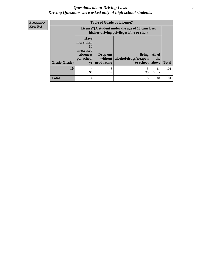## *Questions about Driving Laws* **61** *Driving Questions were asked only of high school students.*

**Frequency Row Pct**

| <b>Table of Grade by License7</b> |                                                                             |                                                                                               |                                                   |                        |              |
|-----------------------------------|-----------------------------------------------------------------------------|-----------------------------------------------------------------------------------------------|---------------------------------------------------|------------------------|--------------|
|                                   |                                                                             | License7(A student under the age of 18 cam loser<br>his/her driving privileges if he or she:) |                                                   |                        |              |
| Grade(Grade)                      | <b>Have</b><br>more than<br>10<br>unexcused<br>absences<br>per school<br>yr | Drop out<br>without<br>graduating                                                             | <b>Bring</b><br>alcohol/drugs/weapon<br>to school | All of<br>the<br>above | <b>Total</b> |
| 10                                | 4<br>3.96                                                                   | 8<br>7.92                                                                                     | 5<br>4.95                                         | 84<br>83.17            | 101          |
| <b>Total</b>                      | 4                                                                           | 8                                                                                             | 5                                                 | 84                     | 101          |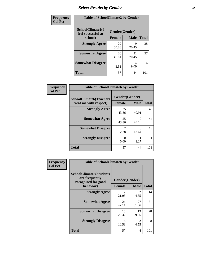# *Select Results by Gender* **62**

| Frequency      | <b>Table of SchoolClimate2 by Gender</b> |                                     |             |              |
|----------------|------------------------------------------|-------------------------------------|-------------|--------------|
| <b>Col Pct</b> | SchoolClimate2(I<br>feel successful at   | Gender(Gender)                      |             |              |
|                | school)                                  | <b>Female</b>                       | <b>Male</b> | <b>Total</b> |
|                | <b>Strongly Agree</b>                    | 29<br>50.88                         | 9<br>20.45  | 38           |
|                | <b>Somewhat Agree</b>                    | 26<br>45.61                         | 31<br>70.45 | 57           |
|                | <b>Somewhat Disagree</b>                 | $\mathcal{D}_{\mathcal{L}}$<br>3.51 | 4<br>9.09   | 6            |
|                | <b>Total</b>                             | 57                                  | 44          | 101          |

| <b>Frequency</b> | <b>Table of SchoolClimate6 by Gender</b>                 |                                                |             |              |  |
|------------------|----------------------------------------------------------|------------------------------------------------|-------------|--------------|--|
| <b>Col Pct</b>   | <b>SchoolClimate6(Teachers</b><br>treat me with respect) | Gender(Gender)<br><b>Male</b><br><b>Female</b> |             | <b>Total</b> |  |
|                  | <b>Strongly Agree</b>                                    | 25<br>43.86                                    | 18<br>40.91 | 43           |  |
|                  | <b>Somewhat Agree</b>                                    | 25<br>43.86                                    | 19<br>43.18 | 44           |  |
|                  | <b>Somewhat Disagree</b>                                 | 7<br>12.28                                     | 6<br>13.64  | 13           |  |
|                  | <b>Strongly Disagree</b>                                 | 0<br>0.00                                      | 2.27        |              |  |
|                  | <b>Total</b>                                             | 57                                             | 44          | 101          |  |

| <b>Frequency</b> | <b>Table of SchoolClimate8 by Gender</b>                                |                |                                     |              |  |
|------------------|-------------------------------------------------------------------------|----------------|-------------------------------------|--------------|--|
| <b>Col Pct</b>   | <b>SchoolClimate8(Students</b><br>are frequently<br>recognized for good | Gender(Gender) |                                     |              |  |
|                  | behavior)                                                               | <b>Female</b>  | <b>Male</b>                         | <b>Total</b> |  |
|                  | <b>Strongly Agree</b>                                                   | 12<br>21.05    | $\mathcal{D}_{\mathcal{L}}$<br>4.55 | 14           |  |
|                  | <b>Somewhat Agree</b>                                                   | 24<br>42.11    | 27<br>61.36                         | 51           |  |
|                  | <b>Somewhat Disagree</b>                                                | 15<br>26.32    | 13<br>29.55                         | 28           |  |
|                  | <b>Strongly Disagree</b>                                                | 6<br>10.53     | $\mathfrak{D}$<br>4.55              | 8            |  |
|                  | Total                                                                   | 57             | 44                                  | 101          |  |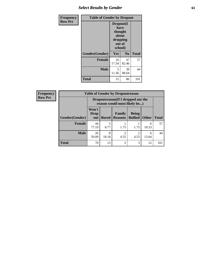# *Select Results by Gender* **63**

| Frequency      | <b>Table of Gender by Dropout</b> |                                                                        |                |              |
|----------------|-----------------------------------|------------------------------------------------------------------------|----------------|--------------|
| <b>Row Pct</b> |                                   | Dropout(I<br>have<br>thought<br>about<br>dropping<br>out of<br>school) |                |              |
|                | Gender(Gender)                    | Yes                                                                    | N <sub>0</sub> | <b>Total</b> |
|                | <b>Female</b>                     | 10<br>17.54                                                            | 47<br>82.46    | 57           |
|                | <b>Male</b>                       | 5<br>11.36                                                             | 39<br>88.64    | 44           |
|                | <b>Total</b>                      | 15                                                                     | 86             | 101          |

| <b>Frequency</b> | <b>Table of Gender by Dropoutreason</b> |                                                                     |              |                                 |                                |              |              |
|------------------|-----------------------------------------|---------------------------------------------------------------------|--------------|---------------------------------|--------------------------------|--------------|--------------|
| <b>Row Pct</b>   |                                         | Dropoutreason (If I dropped out the<br>reason would most likely be) |              |                                 |                                |              |              |
|                  | <b>Gender</b> (Gender)                  | Won't<br><b>Drop</b><br>out                                         | <b>Bored</b> | <b>Family</b><br><b>Reasons</b> | <b>Being</b><br><b>Bullied</b> | <b>Other</b> | <b>Total</b> |
|                  | <b>Female</b>                           | 44<br>77.19                                                         | 5<br>8.77    | 1.75                            | 1.75                           | 6<br>10.53   | 57           |
|                  | <b>Male</b>                             | 26<br>59.09                                                         | 8<br>18.18   | っ<br>4.55                       | 4.55                           | 6<br>13.64   | 44           |
|                  | <b>Total</b>                            | 70                                                                  | 13           | 3                               | 3                              | 12           | 101          |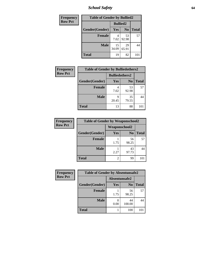*School Safety* **64**

| Frequency      | <b>Table of Gender by Bullied2</b> |                 |                |              |
|----------------|------------------------------------|-----------------|----------------|--------------|
| <b>Row Pct</b> |                                    | <b>Bullied2</b> |                |              |
|                | Gender(Gender)                     | Yes             | N <sub>0</sub> | <b>Total</b> |
|                | <b>Female</b>                      | 7.02            | 53<br>92.98    | 57           |
|                | <b>Male</b>                        | 15<br>34.09     | 29<br>65.91    | 44           |
|                | <b>Total</b>                       | 19              | 82             | 101          |

| <b>Frequency</b> | <b>Table of Gender by Bulliedothers2</b> |                       |             |              |
|------------------|------------------------------------------|-----------------------|-------------|--------------|
| <b>Row Pct</b>   |                                          | <b>Bulliedothers2</b> |             |              |
|                  | Gender(Gender)                           | <b>Yes</b>            | $\bf N_0$   | <b>Total</b> |
|                  | <b>Female</b>                            | 4<br>7.02             | 53<br>92.98 | 57           |
|                  | <b>Male</b>                              | Q<br>20.45            | 35<br>79.55 | 44           |
|                  | <b>Total</b>                             | 13                    | 88          | 101          |

| Frequency      | <b>Table of Gender by Weaponschool2</b> |                      |                |              |
|----------------|-----------------------------------------|----------------------|----------------|--------------|
| <b>Row Pct</b> |                                         | <b>Weaponschool2</b> |                |              |
|                | Gender(Gender)                          | Yes                  | N <sub>0</sub> | <b>Total</b> |
|                | <b>Female</b>                           | 1.75                 | 56<br>98.25    | 57           |
|                | <b>Male</b>                             | 2.27                 | 43<br>97.73    | 44           |
|                | <b>Total</b>                            | 2                    | 99             |              |

| Frequency      | <b>Table of Gender by Absentunsafe2</b> |               |                |              |
|----------------|-----------------------------------------|---------------|----------------|--------------|
| <b>Row Pct</b> |                                         | Absentunsafe2 |                |              |
|                | Gender(Gender)                          | Yes           | N <sub>0</sub> | <b>Total</b> |
|                | <b>Female</b>                           | 1.75          | 56<br>98.25    | 57           |
|                | <b>Male</b>                             | 0.00          | 44<br>100.00   | 44           |
|                | <b>Total</b>                            |               | 100            | 101          |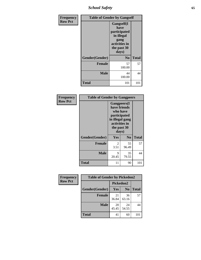*School Safety* **65**

| Frequency      |                | <b>Table of Gender by Gangself</b>                                                                |              |
|----------------|----------------|---------------------------------------------------------------------------------------------------|--------------|
| <b>Row Pct</b> |                | Gangself(I<br>have<br>participated<br>in illegal<br>gang<br>activities in<br>the past 30<br>days) |              |
|                | Gender(Gender) | N <sub>0</sub>                                                                                    | <b>Total</b> |
|                | <b>Female</b>  | 57<br>100.00                                                                                      | 57           |
|                | <b>Male</b>    | 44<br>100.00                                                                                      | 44           |
|                | <b>Total</b>   | 101                                                                                               | 101          |

| Frequency      | <b>Table of Gender by Gangpeers</b> |                                                                                                                             |                |              |
|----------------|-------------------------------------|-----------------------------------------------------------------------------------------------------------------------------|----------------|--------------|
| <b>Row Pct</b> |                                     | <b>Gangpeers</b> (I<br>have friends<br>who have<br>participated<br>in illegal gang<br>activities in<br>the past 30<br>days) |                |              |
|                | Gender(Gender)                      | <b>Yes</b>                                                                                                                  | N <sub>0</sub> | <b>Total</b> |
|                | <b>Female</b>                       | 2<br>3.51                                                                                                                   | 55<br>96.49    | 57           |
|                | <b>Male</b>                         | 9<br>20.45                                                                                                                  | 35<br>79.55    | 44           |
|                | Total                               | 11                                                                                                                          | 90             | 101          |

| Frequency      | <b>Table of Gender by Pickedon2</b> |             |                |              |
|----------------|-------------------------------------|-------------|----------------|--------------|
| <b>Row Pct</b> |                                     | Pickedon2   |                |              |
|                | Gender(Gender)                      | Yes         | N <sub>0</sub> | <b>Total</b> |
|                | <b>Female</b>                       | 21<br>36.84 | 36<br>63.16    | 57           |
|                | <b>Male</b>                         | 20<br>45.45 | 24<br>54.55    | 44           |
|                | <b>Total</b>                        | 41          | 60             | 101          |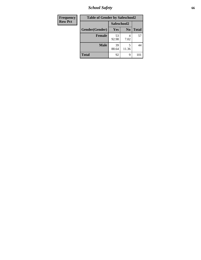*School Safety* **66**

| Frequency      | <b>Table of Gender by Safeschool2</b> |             |                |              |
|----------------|---------------------------------------|-------------|----------------|--------------|
| <b>Row Pct</b> |                                       | Safeschool2 |                |              |
|                | Gender(Gender)                        | Yes         | N <sub>0</sub> | <b>Total</b> |
|                | <b>Female</b>                         | 53<br>92.98 | 7.02           | 57           |
|                | <b>Male</b>                           | 39<br>88.64 | 5<br>11.36     | 44           |
|                | <b>Total</b>                          | 92          | 9              | 101          |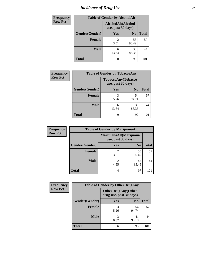# *Incidence of Drug Use* 67

| <b>Frequency</b> | <b>Table of Gender by AlcoholAlt</b> |                        |                                          |              |  |
|------------------|--------------------------------------|------------------------|------------------------------------------|--------------|--|
| <b>Row Pct</b>   |                                      |                        | AlcoholAlt(Alcohol<br>use, past 30 days) |              |  |
|                  | Gender(Gender)                       | Yes                    | N <sub>0</sub>                           | <b>Total</b> |  |
|                  | <b>Female</b>                        | $\mathfrak{D}$<br>3.51 | 55<br>96.49                              | 57           |  |
|                  | <b>Male</b>                          | 6<br>13.64             | 38<br>86.36                              | 44           |  |
|                  | <b>Total</b>                         | 8                      | 93                                       | 101          |  |

| <b>Frequency</b> | <b>Table of Gender by TobaccoAny</b> |                    |                    |              |
|------------------|--------------------------------------|--------------------|--------------------|--------------|
| <b>Row Pct</b>   |                                      | use, past 30 days) | TobaccoAny(Tobacco |              |
|                  | Gender(Gender)                       | Yes                | N <sub>0</sub>     | <b>Total</b> |
|                  | <b>Female</b>                        | 5.26               | 54<br>94.74        | 57           |
|                  | <b>Male</b>                          | 6<br>13.64         | 38<br>86.36        |              |
|                  | <b>Total</b>                         | q                  | 92                 |              |

| <b>Frequency</b> | <b>Table of Gender by MarijuanaAlt</b> |                        |                                              |              |
|------------------|----------------------------------------|------------------------|----------------------------------------------|--------------|
| <b>Row Pct</b>   |                                        |                        | MarijuanaAlt(Marijuana<br>use, past 30 days) |              |
|                  | Gender(Gender)                         | <b>Yes</b>             | N <sub>0</sub>                               | <b>Total</b> |
|                  | Female                                 | $\mathfrak{D}$<br>3.51 | 55<br>96.49                                  | 57           |
|                  | <b>Male</b>                            | 4.55                   | 42<br>95.45                                  | 44           |
|                  | <b>Total</b>                           | 4                      | 97                                           | 101          |

| <b>Frequency</b> | <b>Table of Gender by OtherDrugAny</b> |                         |                           |              |
|------------------|----------------------------------------|-------------------------|---------------------------|--------------|
| <b>Row Pct</b>   |                                        | drug use, past 30 days) | <b>OtherDrugAny(Other</b> |              |
|                  | Gender(Gender)                         | <b>Yes</b>              | N <sub>0</sub>            | <b>Total</b> |
|                  | <b>Female</b>                          | 5.26                    | 54<br>94.74               | 57           |
|                  | <b>Male</b>                            | 3<br>6.82               | 41<br>93.18               | 44           |
|                  | <b>Total</b>                           | 6                       | 95                        | 101          |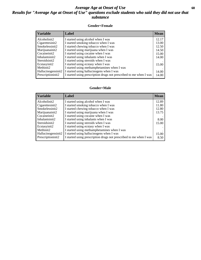## *Average Age at Onset of Use* **68** *Results for "Average Age at Onset of Use" questions exclude students who said they did not use that substance*

### **Gender=Female**

| <b>Variable</b>    | <b>Label</b>                                                       | <b>Mean</b> |
|--------------------|--------------------------------------------------------------------|-------------|
| Alcoholinit2       | I started using alcohol when I was                                 | 12.17       |
| Cigarettesinit2    | I started smoking tobacco when I was                               | 13.00       |
| Smokelessinit2     | I started chewing tobacco when I was                               | 12.50       |
| Marijuanainit2     | I started using marijuana when I was                               | 14.50       |
| Cocaineinit2       | I started using cocaine when I was                                 | 15.00       |
| Inhalantsinit2     | I started using inhalants when I was                               | 14.00       |
| Steroidsinit2      | I started using steroids when I was                                |             |
| Ecstasyinit2       | I started using ecstasy when I was                                 | 15.00       |
| Methinit2          | I started using methamphetamines when I was                        |             |
| Hallucinogensinit2 | I started using hallucinogens when I was                           | 14.00       |
| Prescription in t2 | I started using prescription drugs not prescribed to me when I was | 14.00       |

#### **Gender=Male**

| <b>Variable</b>    | Label                                                              | <b>Mean</b> |
|--------------------|--------------------------------------------------------------------|-------------|
| Alcoholinit2       | I started using alcohol when I was                                 | 12.89       |
| Cigarettesinit2    | I started smoking tobacco when I was                               | 11.80       |
| Smokelessinit2     | I started chewing tobacco when I was                               | 12.80       |
| Marijuanainit2     | I started using marijuana when I was                               | 13.75       |
| Cocaineinit2       | I started using cocaine when I was                                 |             |
| Inhalantsinit2     | I started using inhalants when I was                               | 8.00        |
| Steroidsinit2      | I started using steroids when I was                                | 15.00       |
| Ecstasyinit2       | I started using ecstasy when I was                                 |             |
| Methinit2          | I started using methamphetamines when I was                        |             |
| Hallucinogensinit2 | I started using hallucinogens when I was                           | 15.00       |
| Prescriptioninit2  | I started using prescription drugs not prescribed to me when I was | 8.50        |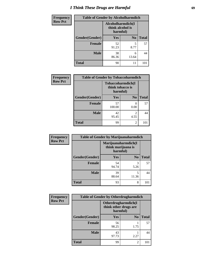# *I Think These Drugs are Harmful* **69**

| <b>Frequency</b> | <b>Table of Gender by Alcoholharmdich</b> |                                                   |                |              |
|------------------|-------------------------------------------|---------------------------------------------------|----------------|--------------|
| <b>Row Pct</b>   |                                           | Alcoholharmdich(I<br>think alcohol is<br>harmful) |                |              |
|                  | Gender(Gender)                            | <b>Yes</b>                                        | N <sub>0</sub> | <b>Total</b> |
|                  | <b>Female</b>                             | 52<br>91.23                                       | 5<br>8.77      | 57           |
|                  | <b>Male</b>                               | 38<br>86.36                                       | 6<br>13.64     | 44           |
|                  | <b>Total</b>                              | 90                                                | 11             |              |

| Frequency      | <b>Table of Gender by Tobaccoharmdich</b> |                  |                               |              |
|----------------|-------------------------------------------|------------------|-------------------------------|--------------|
| <b>Row Pct</b> |                                           | think tobacco is | Tobaccoharmdich(I<br>harmful) |              |
|                | Gender(Gender)                            | <b>Yes</b>       | N <sub>0</sub>                | <b>Total</b> |
|                | <b>Female</b>                             | 57<br>100.00     | $\theta$<br>0.00              | 57           |
|                | <b>Male</b>                               | 42<br>95.45      | $\mathfrak{D}$<br>4.55        | 44           |
|                | <b>Total</b>                              | 99               | $\mathfrak{D}$                | 101          |

| Frequency      | <b>Table of Gender by Marijuanaharmdich</b> |                                                       |                |              |  |
|----------------|---------------------------------------------|-------------------------------------------------------|----------------|--------------|--|
| <b>Row Pct</b> |                                             | Marijuanaharmdich(I<br>think marijuana is<br>harmful) |                |              |  |
|                | Gender(Gender)                              | <b>Yes</b>                                            | N <sub>0</sub> | <b>Total</b> |  |
|                | <b>Female</b>                               | 54<br>94.74                                           | 3<br>5.26      | 57           |  |
|                | <b>Male</b>                                 | 39<br>88.64                                           | 5<br>11.36     | 44           |  |
|                | <b>Total</b>                                | 93                                                    | 8              | 101          |  |

| Frequency      | <b>Table of Gender by Otherdrugharmdich</b> |                                   |                     |              |
|----------------|---------------------------------------------|-----------------------------------|---------------------|--------------|
| <b>Row Pct</b> |                                             | think other drugs are<br>harmful) | Otherdrugharmdich(I |              |
|                | Gender(Gender)                              | <b>Yes</b>                        | N <sub>0</sub>      | <b>Total</b> |
|                | <b>Female</b>                               | 56<br>98.25                       | 1.75                | 57           |
|                | <b>Male</b>                                 | 43<br>97.73                       | 2.27                | 44           |
|                | <b>Total</b>                                | 99                                | $\overline{c}$      | 101          |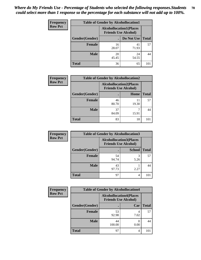| <b>Frequency</b> | <b>Table of Gender by Alcohollocation1</b> |                                                               |             |              |
|------------------|--------------------------------------------|---------------------------------------------------------------|-------------|--------------|
| <b>Row Pct</b>   |                                            | <b>Alcohollocation1(Places</b><br><b>Friends Use Alcohol)</b> |             |              |
|                  | Gender(Gender)                             |                                                               | Do Not Use  | <b>Total</b> |
|                  | <b>Female</b>                              | 16<br>28.07                                                   | 41<br>71.93 | 57           |
|                  | <b>Male</b>                                | 20<br>45.45                                                   | 24<br>54.55 | 44           |
|                  | <b>Total</b>                               | 36                                                            | 65          | 101          |

| <b>Frequency</b> | <b>Table of Gender by Alcohollocation2</b> |             |                                                               |              |
|------------------|--------------------------------------------|-------------|---------------------------------------------------------------|--------------|
| <b>Row Pct</b>   |                                            |             | <b>Alcohollocation2(Places</b><br><b>Friends Use Alcohol)</b> |              |
|                  | Gender(Gender)                             |             | Home                                                          | <b>Total</b> |
|                  | Female                                     | 46<br>80.70 | 11<br>19.30                                                   | 57           |
|                  | <b>Male</b>                                | 37<br>84.09 | 15.91                                                         | 44           |
|                  | <b>Total</b>                               | 83          | 18                                                            | 101          |

| <b>Frequency</b> | <b>Table of Gender by Alcohollocation3</b> |             |                                                               |              |
|------------------|--------------------------------------------|-------------|---------------------------------------------------------------|--------------|
| <b>Row Pct</b>   |                                            |             | <b>Alcohollocation3(Places</b><br><b>Friends Use Alcohol)</b> |              |
|                  | Gender(Gender)                             |             | <b>School</b>                                                 | <b>Total</b> |
|                  | <b>Female</b>                              | 54<br>94.74 | 3<br>5.26                                                     | 57           |
|                  | <b>Male</b>                                | 43<br>97.73 | 2.27                                                          | 44           |
|                  | <b>Total</b>                               | 97          | 4                                                             | 101          |

| <b>Frequency</b> | <b>Table of Gender by Alcohollocation4</b> |              |                                                               |              |
|------------------|--------------------------------------------|--------------|---------------------------------------------------------------|--------------|
| <b>Row Pct</b>   |                                            |              | <b>Alcohollocation4(Places</b><br><b>Friends Use Alcohol)</b> |              |
|                  | Gender(Gender)                             |              | Car                                                           | <b>Total</b> |
|                  | <b>Female</b>                              | 53<br>92.98  | 7.02                                                          | 57           |
|                  | <b>Male</b>                                | 44<br>100.00 | 0.00                                                          | 44           |
|                  | <b>Total</b>                               | 97           |                                                               |              |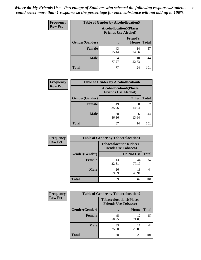| <b>Frequency</b> |                | <b>Table of Gender by Alcohollocation5</b> |                                 |              |
|------------------|----------------|--------------------------------------------|---------------------------------|--------------|
| <b>Row Pct</b>   |                | <b>Alcohollocation5</b> (Places            | <b>Friends Use Alcohol)</b>     |              |
|                  | Gender(Gender) |                                            | <b>Friend's</b><br><b>House</b> | <b>Total</b> |
|                  | <b>Female</b>  | 43<br>75.44                                | 14<br>24.56                     | 57           |
|                  | <b>Male</b>    | 34<br>77.27                                | 10<br>22.73                     | 44           |
|                  | <b>Total</b>   | 77                                         | 24                              | 101          |

| Frequency      | <b>Table of Gender by Alcohollocation6</b> |                                                               |              |              |  |
|----------------|--------------------------------------------|---------------------------------------------------------------|--------------|--------------|--|
| <b>Row Pct</b> |                                            | <b>Alcohollocation6(Places</b><br><b>Friends Use Alcohol)</b> |              |              |  |
|                | Gender(Gender)                             |                                                               | <b>Other</b> | <b>Total</b> |  |
|                | <b>Female</b>                              | 49<br>85.96                                                   | 8<br>14.04   | 57           |  |
|                | <b>Male</b>                                | 38<br>86.36                                                   | 6<br>13.64   | 44           |  |
|                | <b>Total</b>                               | 87                                                            | 14           | 101          |  |

| Frequency      | <b>Table of Gender by Tobaccolocation1</b> |                                                               |             |              |  |
|----------------|--------------------------------------------|---------------------------------------------------------------|-------------|--------------|--|
| <b>Row Pct</b> |                                            | <b>Tobaccolocation1(Places</b><br><b>Friends Use Tobacco)</b> |             |              |  |
|                | Gender(Gender)                             |                                                               | Do Not Use  | <b>Total</b> |  |
|                | Female                                     | 13<br>22.81                                                   | 44<br>77.19 | 57           |  |
|                | <b>Male</b>                                | 26<br>59.09                                                   | 18<br>40.91 | 44           |  |
|                | <b>Total</b>                               | 39                                                            | 62          | 101          |  |

| <b>Frequency</b> | <b>Table of Gender by Tobaccolocation2</b> |                                                               |             |              |
|------------------|--------------------------------------------|---------------------------------------------------------------|-------------|--------------|
| <b>Row Pct</b>   |                                            | <b>Tobaccolocation2(Places</b><br><b>Friends Use Tobacco)</b> |             |              |
|                  | Gender(Gender)                             |                                                               | Home        | <b>Total</b> |
|                  | Female                                     | 45<br>78.95                                                   | 12<br>21.05 | 57           |
|                  | <b>Male</b>                                | 33<br>75.00                                                   | 11<br>25.00 | 44           |
|                  | <b>Total</b>                               | 78                                                            | 23          | 101          |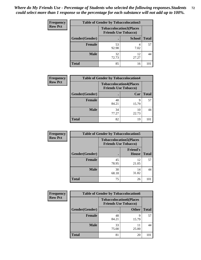| <b>Frequency</b> | <b>Table of Gender by Tobaccolocation3</b> |                                                               |               |              |  |
|------------------|--------------------------------------------|---------------------------------------------------------------|---------------|--------------|--|
| <b>Row Pct</b>   |                                            | <b>Tobaccolocation3(Places</b><br><b>Friends Use Tobacco)</b> |               |              |  |
|                  | Gender(Gender)                             |                                                               | <b>School</b> | <b>Total</b> |  |
|                  | Female                                     | 53<br>92.98                                                   | 7.02          | 57           |  |
|                  | <b>Male</b>                                | 32<br>72.73                                                   | 12<br>27.27   | 44           |  |
|                  | <b>Total</b>                               | 85                                                            | 16            | 101          |  |

| <b>Frequency</b> | <b>Table of Gender by Tobaccolocation4</b> |                             |                                |              |
|------------------|--------------------------------------------|-----------------------------|--------------------------------|--------------|
| <b>Row Pct</b>   |                                            | <b>Friends Use Tobacco)</b> | <b>Tobaccolocation4(Places</b> |              |
|                  | Gender(Gender)                             |                             | Car                            | <b>Total</b> |
|                  | <b>Female</b>                              | 48<br>84.21                 | q<br>15.79                     | 57           |
|                  | <b>Male</b>                                | 34<br>77.27                 | 10<br>22.73                    |              |
|                  | <b>Total</b>                               | 82                          | 19                             |              |

| <b>Frequency</b> | <b>Table of Gender by Tobaccolocation5</b> |                                                               |                          |              |  |
|------------------|--------------------------------------------|---------------------------------------------------------------|--------------------------|--------------|--|
| <b>Row Pct</b>   |                                            | <b>Tobaccolocation5(Places</b><br><b>Friends Use Tobacco)</b> |                          |              |  |
|                  | Gender(Gender)                             |                                                               | <b>Friend's</b><br>House | <b>Total</b> |  |
|                  | Female                                     | 45<br>78.95                                                   | 12<br>21.05              | 57           |  |
|                  | <b>Male</b>                                | 30<br>68.18                                                   | 14<br>31.82              | 44           |  |
|                  | <b>Total</b>                               | 75                                                            | 26                       | 101          |  |

| <b>Frequency</b> | <b>Table of Gender by Tobaccolocation6</b> |                                                               |              |              |
|------------------|--------------------------------------------|---------------------------------------------------------------|--------------|--------------|
| <b>Row Pct</b>   |                                            | <b>Tobaccolocation6(Places</b><br><b>Friends Use Tobacco)</b> |              |              |
|                  | Gender(Gender)                             |                                                               | <b>Other</b> | <b>Total</b> |
|                  | Female                                     | 48<br>84.21                                                   | Q<br>15.79   | 57           |
|                  | <b>Male</b>                                | 33<br>75.00                                                   | 11<br>25.00  | 44           |
|                  | <b>Total</b>                               | 81                                                            | 20           | 101          |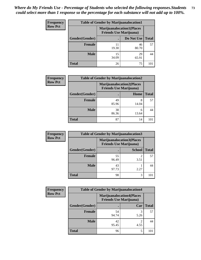| <b>Frequency</b> | <b>Table of Gender by Marijuanalocation1</b> |                                                                    |             |              |
|------------------|----------------------------------------------|--------------------------------------------------------------------|-------------|--------------|
| <b>Row Pct</b>   |                                              | <b>Marijuanalocation1(Places</b><br><b>Friends Use Marijuana</b> ) |             |              |
|                  | <b>Gender</b> (Gender)                       |                                                                    | Do Not Use  | <b>Total</b> |
|                  | <b>Female</b>                                | 11<br>19.30                                                        | 46<br>80.70 | 57           |
|                  | <b>Male</b>                                  | 15<br>34.09                                                        | 29<br>65.91 | 44           |
|                  | <b>Total</b>                                 | 26                                                                 | 75          | 101          |

| <b>Frequency</b> | <b>Table of Gender by Marijuanalocation2</b> |                                                                    |            |       |
|------------------|----------------------------------------------|--------------------------------------------------------------------|------------|-------|
| <b>Row Pct</b>   |                                              | <b>Marijuanalocation2(Places</b><br><b>Friends Use Marijuana</b> ) |            |       |
|                  | Gender(Gender)                               |                                                                    | Home       | Total |
|                  | <b>Female</b>                                | 49<br>85.96                                                        | 8<br>14.04 | 57    |
|                  | <b>Male</b>                                  | 38<br>86.36                                                        | 6<br>13.64 | 44    |
|                  | <b>Total</b>                                 | 87                                                                 | 14         | 101   |

| Frequency      | <b>Table of Gender by Marijuanalocation3</b> |                                                                    |               |              |  |
|----------------|----------------------------------------------|--------------------------------------------------------------------|---------------|--------------|--|
| <b>Row Pct</b> |                                              | <b>Marijuanalocation3(Places</b><br><b>Friends Use Marijuana</b> ) |               |              |  |
|                | Gender(Gender)                               |                                                                    | <b>School</b> | <b>Total</b> |  |
|                | Female                                       | 55<br>96.49                                                        | ◠<br>3.51     | 57           |  |
|                | <b>Male</b>                                  | 43<br>97.73                                                        | 2.27          | 44           |  |
|                | <b>Total</b>                                 | 98                                                                 | 3             | 101          |  |

| <b>Frequency</b> | <b>Table of Gender by Marijuanalocation4</b> |                                                                    |      |              |
|------------------|----------------------------------------------|--------------------------------------------------------------------|------|--------------|
| <b>Row Pct</b>   |                                              | <b>Marijuanalocation4(Places</b><br><b>Friends Use Marijuana</b> ) |      |              |
|                  | Gender(Gender)                               |                                                                    | Car  | <b>Total</b> |
|                  | <b>Female</b>                                | 54<br>94.74                                                        | 5.26 | 57           |
|                  | <b>Male</b>                                  | 42<br>95.45                                                        | 4.55 | 44           |
|                  | <b>Total</b>                                 | 96                                                                 | 5    | 10           |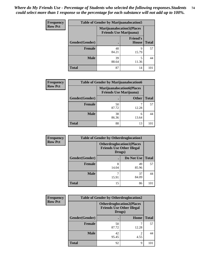| Frequency      | <b>Table of Gender by Marijuanalocation5</b> |                                                                     |                          |              |
|----------------|----------------------------------------------|---------------------------------------------------------------------|--------------------------|--------------|
| <b>Row Pct</b> |                                              | <b>Marijuanalocation5</b> (Places<br><b>Friends Use Marijuana</b> ) |                          |              |
|                | Gender(Gender)                               |                                                                     | <b>Friend's</b><br>House | <b>Total</b> |
|                | <b>Female</b>                                | 48<br>84.21                                                         | q<br>15.79               | 57           |
|                | <b>Male</b>                                  | 39<br>88.64                                                         | 5<br>11.36               | 44           |
|                | <b>Total</b>                                 | 87                                                                  | 14                       | 101          |

| <b>Frequency</b> | <b>Table of Gender by Marijuanalocation6</b> |                                                                    |              |              |
|------------------|----------------------------------------------|--------------------------------------------------------------------|--------------|--------------|
| <b>Row Pct</b>   |                                              | <b>Marijuanalocation6(Places</b><br><b>Friends Use Marijuana</b> ) |              |              |
|                  | <b>Gender</b> (Gender)                       |                                                                    | <b>Other</b> | <b>Total</b> |
|                  | <b>Female</b>                                | 50<br>87.72                                                        | 12.28        | 57           |
|                  | <b>Male</b>                                  | 38<br>86.36                                                        | 6<br>13.64   | 44           |
|                  | Total                                        | 88                                                                 | 13           | 101          |

| Frequency      | <b>Table of Gender by Otherdruglocation1</b> |                                            |                                  |              |
|----------------|----------------------------------------------|--------------------------------------------|----------------------------------|--------------|
| <b>Row Pct</b> |                                              | <b>Friends Use Other Illegal</b><br>Drugs) | <b>Otherdruglocation1(Places</b> |              |
|                | Gender(Gender)                               |                                            | Do Not Use                       | <b>Total</b> |
|                | <b>Female</b>                                | 8<br>14.04                                 | 49<br>85.96                      | 57           |
|                | <b>Male</b>                                  | 15.91                                      | 37<br>84.09                      | 44           |
|                | <b>Total</b>                                 | 15                                         | 86                               | 101          |

| Frequency      | <b>Table of Gender by Otherdruglocation2</b>                                   |             |       |              |
|----------------|--------------------------------------------------------------------------------|-------------|-------|--------------|
| <b>Row Pct</b> | <b>Otherdruglocation2(Places</b><br><b>Friends Use Other Illegal</b><br>Drugs) |             |       |              |
|                | Gender(Gender)                                                                 |             | Home  | <b>Total</b> |
|                | Female                                                                         | 50<br>87.72 | 12.28 | 57           |
|                | <b>Male</b>                                                                    | 42<br>95.45 | 4.55  | 44           |
|                | <b>Total</b>                                                                   | 92          | 9     | 101          |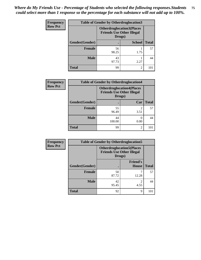| Frequency      | <b>Table of Gender by Otherdruglocation3</b>                                   |             |                |              |
|----------------|--------------------------------------------------------------------------------|-------------|----------------|--------------|
| <b>Row Pct</b> | <b>Otherdruglocation3(Places</b><br><b>Friends Use Other Illegal</b><br>Drugs) |             |                |              |
|                | Gender(Gender)                                                                 |             | <b>School</b>  | <b>Total</b> |
|                | Female                                                                         | 56<br>98.25 | 1.75           | 57           |
|                | <b>Male</b>                                                                    | 43<br>97.73 | 2.27           | 44           |
|                | <b>Total</b>                                                                   | 99          | $\mathfrak{D}$ | 101          |

| <b>Frequency</b> | <b>Table of Gender by Otherdruglocation4</b> |                                                                                |                        |              |
|------------------|----------------------------------------------|--------------------------------------------------------------------------------|------------------------|--------------|
| <b>Row Pct</b>   |                                              | <b>Otherdruglocation4(Places</b><br><b>Friends Use Other Illegal</b><br>Drugs) |                        |              |
|                  | Gender(Gender)                               |                                                                                | Car                    | <b>Total</b> |
|                  | <b>Female</b>                                | 55<br>96.49                                                                    | $\mathfrak{D}$<br>3.51 | 57           |
|                  | <b>Male</b>                                  | 44<br>100.00                                                                   | 0.00                   | 44           |
|                  | <b>Total</b>                                 | 99                                                                             | 2                      | 101          |

| Frequency      | <b>Table of Gender by Otherdruglocation5</b> |                                                                                |                                 |              |
|----------------|----------------------------------------------|--------------------------------------------------------------------------------|---------------------------------|--------------|
| <b>Row Pct</b> |                                              | <b>Otherdruglocation5(Places</b><br><b>Friends Use Other Illegal</b><br>Drugs) |                                 |              |
|                | Gender(Gender)                               |                                                                                | <b>Friend's</b><br><b>House</b> | <b>Total</b> |
|                | <b>Female</b>                                | 50<br>87.72                                                                    | 12.28                           | 57           |
|                | <b>Male</b>                                  | 42<br>95.45                                                                    | 2<br>4.55                       | 44           |
|                | <b>Total</b>                                 | 92                                                                             | 9                               | 101          |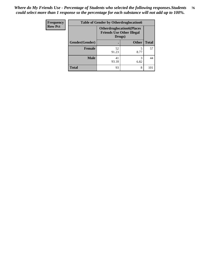| <b>Frequency</b> | <b>Table of Gender by Otherdruglocation6</b> |             |                                                                      |              |
|------------------|----------------------------------------------|-------------|----------------------------------------------------------------------|--------------|
| <b>Row Pct</b>   |                                              | Drugs)      | <b>Otherdruglocation6(Places</b><br><b>Friends Use Other Illegal</b> |              |
|                  | Gender(Gender)                               |             | <b>Other</b>                                                         | <b>Total</b> |
|                  | Female                                       | 52<br>91.23 | 8.77                                                                 | 57           |
|                  | <b>Male</b>                                  | 41<br>93.18 | 3<br>6.82                                                            | 44           |
|                  | <b>Total</b>                                 | 93          | 8                                                                    | 101          |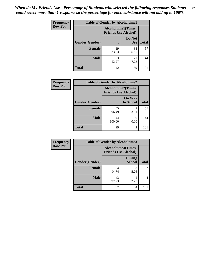| <b>Frequency</b> | <b>Table of Gender by Alcoholtime1</b> |                                                          |                      |              |
|------------------|----------------------------------------|----------------------------------------------------------|----------------------|--------------|
| <b>Row Pct</b>   |                                        | <b>Alcoholtime1(Times</b><br><b>Friends Use Alcohol)</b> |                      |              |
|                  | Gender(Gender)                         | $\bullet$                                                | Do Not<br><b>Use</b> | <b>Total</b> |
|                  | <b>Female</b>                          | 19<br>33.33                                              | 38<br>66.67          | 57           |
|                  | <b>Male</b>                            | 23<br>52.27                                              | 21<br>47.73          | 44           |
|                  | <b>Total</b>                           | 42                                                       | 59                   | 101          |

| Frequency      | <b>Table of Gender by Alcoholtime2</b> |                                                          |                            |              |
|----------------|----------------------------------------|----------------------------------------------------------|----------------------------|--------------|
| <b>Row Pct</b> |                                        | <b>Alcoholtime2(Times</b><br><b>Friends Use Alcohol)</b> |                            |              |
|                | Gender(Gender)                         |                                                          | <b>On Way</b><br>to School | <b>Total</b> |
|                | <b>Female</b>                          | 55<br>96.49                                              | 2<br>3.51                  | 57           |
|                | <b>Male</b>                            | 44<br>100.00                                             | 0<br>0.00                  | 44           |
|                | <b>Total</b>                           | 99                                                       | 2                          | 101          |

| Frequency      | <b>Table of Gender by Alcoholtime3</b> |                                                          |                         |              |
|----------------|----------------------------------------|----------------------------------------------------------|-------------------------|--------------|
| <b>Row Pct</b> |                                        | <b>Alcoholtime3(Times</b><br><b>Friends Use Alcohol)</b> |                         |              |
|                | Gender(Gender)                         |                                                          | <b>During</b><br>School | <b>Total</b> |
|                | <b>Female</b>                          | 54<br>94.74                                              | 3<br>5.26               | 57           |
|                | <b>Male</b>                            | 43<br>97.73                                              | 2.27                    | 44           |
|                | <b>Total</b>                           | 97                                                       | 4                       | 101          |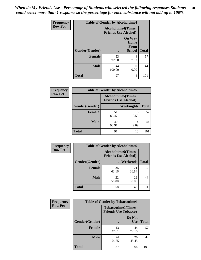*When do My Friends Use - Percentage of Students who selected the following responses.Students could select more than 1 response so the percentage for each substance will not add up to 100%.* **78**

| Frequency      | <b>Table of Gender by Alcoholtime4</b> |                                                          |                                                |              |
|----------------|----------------------------------------|----------------------------------------------------------|------------------------------------------------|--------------|
| <b>Row Pct</b> |                                        | <b>Alcoholtime4(Times</b><br><b>Friends Use Alcohol)</b> |                                                |              |
|                | Gender(Gender)                         | $\bullet$                                                | <b>On Way</b><br>Home<br>From<br><b>School</b> | <b>Total</b> |
|                | <b>Female</b>                          | 53<br>92.98                                              | 4<br>7.02                                      | 57           |
|                | <b>Male</b>                            | 44<br>100.00                                             | 0<br>0.00                                      | 44           |
|                | <b>Total</b>                           | 97                                                       | 4                                              | 101          |

| <b>Frequency</b> |                |                                                           | <b>Table of Gender by Alcoholtime5</b> |              |
|------------------|----------------|-----------------------------------------------------------|----------------------------------------|--------------|
| <b>Row Pct</b>   |                | <b>Alcoholtime5</b> (Times<br><b>Friends Use Alcohol)</b> |                                        |              |
|                  | Gender(Gender) |                                                           | <b>Weeknights</b>                      | <b>Total</b> |
|                  | <b>Female</b>  | 51<br>89.47                                               | 6<br>10.53                             | 57           |
|                  | <b>Male</b>    | 40<br>90.91                                               | 4<br>9.09                              | 44           |
|                  | <b>Total</b>   | 91                                                        | 10                                     | 101          |

| Frequency      | <b>Table of Gender by Alcoholtime6</b> |             |                                                          |              |
|----------------|----------------------------------------|-------------|----------------------------------------------------------|--------------|
| <b>Row Pct</b> |                                        |             | <b>Alcoholtime6(Times</b><br><b>Friends Use Alcohol)</b> |              |
|                | Gender(Gender)                         |             | Weekends                                                 | <b>Total</b> |
|                | Female                                 | 36<br>63.16 | 21<br>36.84                                              | 57           |
|                | <b>Male</b>                            | 22<br>50.00 | 22<br>50.00                                              | 44           |
|                | <b>Total</b>                           | 58          | 43                                                       | 101          |

| Frequency      | <b>Table of Gender by Tobaccotime1</b> |                                                          |                      |              |  |
|----------------|----------------------------------------|----------------------------------------------------------|----------------------|--------------|--|
| <b>Row Pct</b> |                                        | <b>Tobaccotime1(Times</b><br><b>Friends Use Tobacco)</b> |                      |              |  |
|                | Gender(Gender)                         |                                                          | Do Not<br><b>Use</b> | <b>Total</b> |  |
|                | <b>Female</b>                          | 13<br>22.81                                              | 44<br>77.19          | 57           |  |
|                | <b>Male</b>                            | 24<br>54.55                                              | 20<br>45.45          | 44           |  |
|                | <b>Total</b>                           | 37                                                       | 64                   | 101          |  |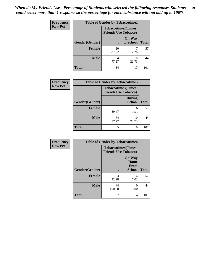*When do My Friends Use - Percentage of Students who selected the following responses.Students could select more than 1 response so the percentage for each substance will not add up to 100%.* **79**

| Frequency      | <b>Table of Gender by Tobaccotime2</b> |                                                          |                            |              |
|----------------|----------------------------------------|----------------------------------------------------------|----------------------------|--------------|
| <b>Row Pct</b> |                                        | <b>Tobaccotime2(Times</b><br><b>Friends Use Tobacco)</b> |                            |              |
|                | Gender(Gender)                         | $\bullet$                                                | <b>On Way</b><br>to School | <b>Total</b> |
|                | Female                                 | 50<br>87.72                                              | 12.28                      | 57           |
|                | <b>Male</b>                            | 34<br>77.27                                              | 10<br>22.73                | 44           |
|                | <b>Total</b>                           | 84                                                       | 17                         | 101          |

| Frequency      | <b>Table of Gender by Tobaccotime3</b> |                                                          |                                |              |
|----------------|----------------------------------------|----------------------------------------------------------|--------------------------------|--------------|
| <b>Row Pct</b> |                                        | <b>Tobaccotime3(Times</b><br><b>Friends Use Tobacco)</b> |                                |              |
|                | Gender(Gender)                         |                                                          | <b>During</b><br><b>School</b> | <b>Total</b> |
|                | <b>Female</b>                          | 51<br>89.47                                              | 6<br>10.53                     | 57           |
|                | <b>Male</b>                            | 34<br>77.27                                              | 10<br>22.73                    | 44           |
|                | <b>Total</b>                           | 85                                                       | 16                             | 101          |

| <b>Frequency</b> | <b>Table of Gender by Tobaccotime4</b> |                                                          |                                                |              |
|------------------|----------------------------------------|----------------------------------------------------------|------------------------------------------------|--------------|
| <b>Row Pct</b>   |                                        | <b>Tobaccotime4(Times</b><br><b>Friends Use Tobacco)</b> |                                                |              |
|                  | Gender(Gender)                         |                                                          | <b>On Way</b><br>Home<br>From<br><b>School</b> | <b>Total</b> |
|                  | <b>Female</b>                          | 53<br>92.98                                              | 4<br>7.02                                      | 57           |
|                  | <b>Male</b>                            | 44<br>100.00                                             | ∩<br>0.00                                      | 44           |
|                  | <b>Total</b>                           | 97                                                       | 4                                              | 101          |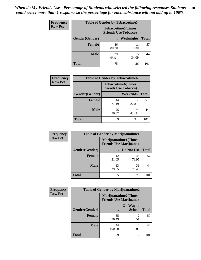| <b>Frequency</b> | <b>Table of Gender by Tobaccotime5</b> |             |                                                           |              |  |
|------------------|----------------------------------------|-------------|-----------------------------------------------------------|--------------|--|
| <b>Row Pct</b>   |                                        |             | <b>Tobaccotime5</b> (Times<br><b>Friends Use Tobacco)</b> |              |  |
|                  | <b>Gender</b> (Gender)                 |             | <b>Weeknights</b>                                         | <b>Total</b> |  |
|                  | <b>Female</b>                          | 46<br>80.70 | 11<br>19.30                                               | 57           |  |
|                  | <b>Male</b>                            | 29<br>65.91 | 15<br>34.09                                               | 44           |  |
|                  | Total                                  | 75          | 26                                                        | 101          |  |

| <b>Frequency</b> | <b>Table of Gender by Tobaccotime6</b> |                                                          |             |              |
|------------------|----------------------------------------|----------------------------------------------------------|-------------|--------------|
| <b>Row Pct</b>   |                                        | <b>Tobaccotime6(Times</b><br><b>Friends Use Tobacco)</b> |             |              |
|                  | Gender(Gender)                         |                                                          | Weekends    | <b>Total</b> |
|                  | Female                                 | 44<br>77.19                                              | 13<br>22.81 | 57           |
|                  | <b>Male</b>                            | 25<br>56.82                                              | 19<br>43.18 | 44           |
|                  | <b>Total</b>                           | 69                                                       | 32          | 101          |

| Frequency      | <b>Table of Gender by Marijuanatime1</b> |                                                               |             |              |
|----------------|------------------------------------------|---------------------------------------------------------------|-------------|--------------|
| <b>Row Pct</b> |                                          | <b>Marijuanatime1(Times</b><br><b>Friends Use Marijuana</b> ) |             |              |
|                | Gender(Gender)                           |                                                               | Do Not Use  | <b>Total</b> |
|                | <b>Female</b>                            | 12<br>21.05                                                   | 45<br>78.95 | 57           |
|                | <b>Male</b>                              | 13<br>29.55                                                   | 31<br>70.45 | 44           |
|                | <b>Total</b>                             | 25                                                            | 76          | 101          |

| Frequency      | <b>Table of Gender by Marijuanatime2</b> |                                                               |                            |              |
|----------------|------------------------------------------|---------------------------------------------------------------|----------------------------|--------------|
| <b>Row Pct</b> |                                          | <b>Marijuanatime2(Times</b><br><b>Friends Use Marijuana</b> ) |                            |              |
|                | Gender(Gender)                           |                                                               | On Way to<br><b>School</b> | <b>Total</b> |
|                | <b>Female</b>                            | 55<br>96.49                                                   | $\mathfrak{D}$<br>3.51     | 57           |
|                | <b>Male</b>                              | 44<br>100.00                                                  | 0<br>0.00                  | 44           |
|                | <b>Total</b>                             | 99                                                            | $\overline{2}$             | 101          |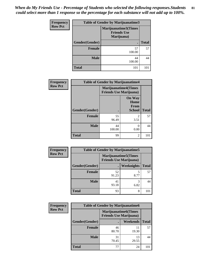| Frequency      | <b>Table of Gender by Marijuanatime3</b> |                                                          |              |  |  |
|----------------|------------------------------------------|----------------------------------------------------------|--------------|--|--|
| <b>Row Pct</b> |                                          | Marijuanatime3(Times<br><b>Friends Use</b><br>Marijuana) |              |  |  |
|                | Gender(Gender)                           | $\bullet$                                                | <b>Total</b> |  |  |
|                | <b>Female</b>                            | 57<br>100.00                                             | 57           |  |  |
|                | <b>Male</b>                              | 44<br>100.00                                             | 44           |  |  |
|                | <b>Total</b>                             | 101                                                      | 101          |  |  |

| Frequency      | <b>Table of Gender by Marijuanatime4</b> |                                                               |                                                       |              |
|----------------|------------------------------------------|---------------------------------------------------------------|-------------------------------------------------------|--------------|
| <b>Row Pct</b> |                                          | <b>Marijuanatime4(Times</b><br><b>Friends Use Marijuana</b> ) |                                                       |              |
|                | Gender(Gender)                           |                                                               | <b>On Way</b><br>Home<br><b>From</b><br><b>School</b> | <b>Total</b> |
|                | <b>Female</b>                            | 55<br>96.49                                                   | $\mathcal{D}_{\mathcal{A}}$<br>3.51                   | 57           |
|                | <b>Male</b>                              | 44<br>100.00                                                  | 0.00                                                  | 44           |
|                | <b>Total</b>                             | 99                                                            | 2                                                     | 101          |

| Frequency      | <b>Table of Gender by Marijuanatime5</b> |             |                                                                |              |
|----------------|------------------------------------------|-------------|----------------------------------------------------------------|--------------|
| <b>Row Pct</b> |                                          |             | <b>Marijuanatime5</b> (Times<br><b>Friends Use Marijuana</b> ) |              |
|                | Gender(Gender)                           |             | Weeknights                                                     | <b>Total</b> |
|                | <b>Female</b>                            | 52<br>91.23 | 5<br>8.77                                                      | 57           |
|                | <b>Male</b>                              | 41<br>93.18 | 3<br>6.82                                                      | 44           |
|                | <b>Total</b>                             | 93          | 8                                                              | 101          |

| Frequency      | <b>Table of Gender by Marijuanatime6</b> |                                |                             |              |  |
|----------------|------------------------------------------|--------------------------------|-----------------------------|--------------|--|
| <b>Row Pct</b> |                                          | <b>Friends Use Marijuana</b> ) | <b>Marijuanatime6(Times</b> |              |  |
|                | Gender(Gender)                           |                                | <b>Weekends</b>             | <b>Total</b> |  |
|                | <b>Female</b>                            | 46<br>80.70                    | 11<br>19.30                 | 57           |  |
|                | <b>Male</b>                              | 31<br>70.45                    | 13<br>29.55                 | 44           |  |
|                | <b>Total</b>                             | 77                             | 24                          | 101          |  |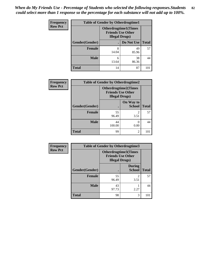| <b>Frequency</b> | <b>Table of Gender by Otherdrugtime1</b> |                                                                                    |             |              |
|------------------|------------------------------------------|------------------------------------------------------------------------------------|-------------|--------------|
| <b>Row Pct</b>   |                                          | <b>Otherdrugtime1</b> (Times<br><b>Friends Use Other</b><br><b>Illegal Drugs</b> ) |             |              |
|                  | Gender(Gender)                           |                                                                                    | Do Not Use  | <b>Total</b> |
|                  | <b>Female</b>                            | 8<br>14.04                                                                         | 49<br>85.96 | 57           |
|                  | <b>Male</b>                              | 6<br>13.64                                                                         | 38<br>86.36 | 44           |
|                  | <b>Total</b>                             | 14                                                                                 | 87          | 101          |

| Frequency      | <b>Table of Gender by Otherdrugtime2</b> |                                                                                   |                            |              |
|----------------|------------------------------------------|-----------------------------------------------------------------------------------|----------------------------|--------------|
| <b>Row Pct</b> |                                          | <b>Otherdrugtime2(Times</b><br><b>Friends Use Other</b><br><b>Illegal Drugs</b> ) |                            |              |
|                | Gender(Gender)                           |                                                                                   | On Way to<br><b>School</b> | <b>Total</b> |
|                | <b>Female</b>                            | 55<br>96.49                                                                       | $\mathfrak{D}$<br>3.51     | 57           |
|                | <b>Male</b>                              | 44<br>100.00                                                                      | 0.00                       | 44           |
|                | <b>Total</b>                             | 99                                                                                | $\mathfrak{D}$             | 101          |

| <b>Frequency</b> | Table of Gender by Otherdrugtime3 |                                                                            |                                |              |
|------------------|-----------------------------------|----------------------------------------------------------------------------|--------------------------------|--------------|
| <b>Row Pct</b>   |                                   | Otherdrugtime3(Times<br><b>Friends Use Other</b><br><b>Illegal Drugs</b> ) |                                |              |
|                  | Gender(Gender)                    | $\bullet$                                                                  | <b>During</b><br><b>School</b> | <b>Total</b> |
|                  | <b>Female</b>                     | 55<br>96.49                                                                | $\mathfrak{D}$<br>3.51         | 57           |
|                  | <b>Male</b>                       | 43<br>97.73                                                                | 2.27                           | 44           |
|                  | <b>Total</b>                      | 98                                                                         | 3                              | 101          |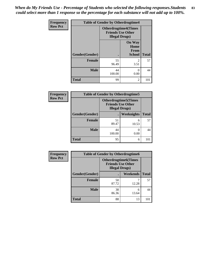*When do My Friends Use - Percentage of Students who selected the following responses.Students could select more than 1 response so the percentage for each substance will not add up to 100%.* **83**

| <b>Frequency</b> |                | <b>Table of Gender by Otherdrugtime4</b>                                          |                                                |              |
|------------------|----------------|-----------------------------------------------------------------------------------|------------------------------------------------|--------------|
| <b>Row Pct</b>   |                | <b>Otherdrugtime4(Times</b><br><b>Friends Use Other</b><br><b>Illegal Drugs</b> ) |                                                |              |
|                  | Gender(Gender) |                                                                                   | <b>On Way</b><br>Home<br>From<br><b>School</b> | <b>Total</b> |
|                  | Female         | 55<br>96.49                                                                       | $\mathfrak{D}$<br>3.51                         | 57           |
|                  | <b>Male</b>    | 44<br>100.00                                                                      | 0.00                                           | 44           |
|                  | <b>Total</b>   | 99                                                                                | 2                                              | 101          |

| Frequency      | <b>Table of Gender by Otherdrugtime5</b> |              |                                                                                    |              |
|----------------|------------------------------------------|--------------|------------------------------------------------------------------------------------|--------------|
| <b>Row Pct</b> |                                          |              | <b>Otherdrugtime5</b> (Times<br><b>Friends Use Other</b><br><b>Illegal Drugs</b> ) |              |
|                | Gender(Gender)                           |              | Weeknights                                                                         | <b>Total</b> |
|                | Female                                   | 51<br>89.47  | 6<br>10.53                                                                         | 57           |
|                | <b>Male</b>                              | 44<br>100.00 | 0.00                                                                               | 44           |
|                | <b>Total</b>                             | 95           | 6                                                                                  | 101          |

| <b>Frequency</b> | <b>Table of Gender by Otherdrugtime6</b> |                                                                                   |            |              |
|------------------|------------------------------------------|-----------------------------------------------------------------------------------|------------|--------------|
| <b>Row Pct</b>   |                                          | <b>Otherdrugtime6(Times</b><br><b>Friends Use Other</b><br><b>Illegal Drugs</b> ) |            |              |
|                  | Gender(Gender)                           |                                                                                   | Weekends   | <b>Total</b> |
|                  | <b>Female</b>                            | 50<br>87.72                                                                       | 12.28      | 57           |
|                  | <b>Male</b>                              | 38<br>86.36                                                                       | 6<br>13.64 | 44           |
|                  | <b>Total</b>                             | 88                                                                                | 13         | 101          |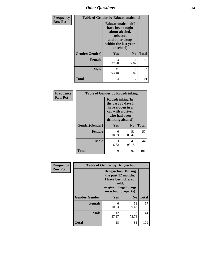# *Other Questions* **84**

| Frequency      | <b>Table of Gender by Educationalcohol</b> |                                                                                                                               |                |              |
|----------------|--------------------------------------------|-------------------------------------------------------------------------------------------------------------------------------|----------------|--------------|
| <b>Row Pct</b> |                                            | Educationalcohol(I<br>have been taught<br>about alcohol,<br>tobacco,<br>and other drugs<br>within the last year<br>at school) |                |              |
|                | Gender(Gender)                             | Yes                                                                                                                           | N <sub>0</sub> | <b>Total</b> |
|                | <b>Female</b>                              | 53<br>92.98                                                                                                                   | 4<br>7.02      | 57           |
|                | <b>Male</b>                                | 41<br>93.18                                                                                                                   | 3<br>6.82      | 44           |
|                | <b>Total</b>                               | 94                                                                                                                            | 7              | 101          |

| Frequency      | <b>Table of Gender by Rodedrinking</b> |                                                                                                                     |                |              |
|----------------|----------------------------------------|---------------------------------------------------------------------------------------------------------------------|----------------|--------------|
| <b>Row Pct</b> |                                        | Rodedrinking(In<br>the past 30 days I<br>have ridden in a<br>car with a driver<br>who had been<br>drinking alcohol) |                |              |
|                | Gender(Gender)                         | Yes                                                                                                                 | N <sub>0</sub> | <b>Total</b> |
|                | <b>Female</b>                          | 6<br>10.53                                                                                                          | 51<br>89.47    | 57           |
|                | <b>Male</b>                            | 3<br>6.82                                                                                                           | 41<br>93.18    | 44           |
|                | <b>Total</b>                           | 9                                                                                                                   | 92             | 101          |

| Frequency      | <b>Table of Gender by Drugsschool</b> |                                                                                                                                     |                |              |
|----------------|---------------------------------------|-------------------------------------------------------------------------------------------------------------------------------------|----------------|--------------|
| <b>Row Pct</b> |                                       | <b>Drugsschool</b> (During<br>the past 12 months,<br>I have been offered,<br>sold,<br>or given illegal drugs<br>on school property) |                |              |
|                | Gender(Gender)                        | <b>Yes</b>                                                                                                                          | N <sub>0</sub> | <b>Total</b> |
|                | <b>Female</b>                         | 6<br>10.53                                                                                                                          | 51<br>89.47    | 57           |
|                | <b>Male</b>                           | 12<br>27.27                                                                                                                         | 32<br>72.73    | 44           |
|                | <b>Total</b>                          | 18                                                                                                                                  | 83             | 101          |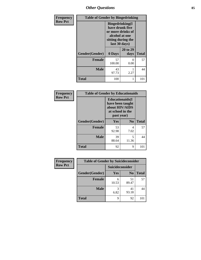*Other Questions* **85**

| <b>Frequency</b> | <b>Table of Gender by Bingedrinking</b> |                                                                                                                          |                  |              |
|------------------|-----------------------------------------|--------------------------------------------------------------------------------------------------------------------------|------------------|--------------|
| <b>Row Pct</b>   |                                         | <b>Bingedrinking</b> (I<br>have drunk five<br>or more drinks of<br>alcohol at one<br>sitting during the<br>last 30 days) |                  |              |
|                  | Gender(Gender)                          | 0 Days                                                                                                                   | 20 to 29<br>days | <b>Total</b> |
|                  | <b>Female</b>                           | 57<br>100.00                                                                                                             | 0<br>0.00        | 57           |
|                  | <b>Male</b>                             | 43<br>97.73                                                                                                              | 2.27             | 44           |
|                  | <b>Total</b>                            | 100                                                                                                                      | 1                | 101          |

| Frequency      | <b>Table of Gender by Educationaids</b> |                                                                                                 |                |              |
|----------------|-----------------------------------------|-------------------------------------------------------------------------------------------------|----------------|--------------|
| <b>Row Pct</b> |                                         | <b>Educationaids</b> (I<br>have been taught<br>about HIV/AIDS<br>at school in the<br>past year) |                |              |
|                | Gender(Gender)                          | Yes                                                                                             | N <sub>0</sub> | <b>Total</b> |
|                | <b>Female</b>                           | 53<br>92.98                                                                                     | 4<br>7.02      | 57           |
|                | <b>Male</b>                             | 39<br>88.64                                                                                     | 5<br>11.36     | 44           |
|                | <b>Total</b>                            | 92                                                                                              | 9              | 101          |

| Frequency      | <b>Table of Gender by Suicideconsider</b> |                 |                |              |
|----------------|-------------------------------------------|-----------------|----------------|--------------|
| <b>Row Pct</b> |                                           | Suicideconsider |                |              |
|                | Gender(Gender)                            | Yes             | N <sub>0</sub> | <b>Total</b> |
|                | <b>Female</b>                             | 10.53           | 51<br>89.47    | 57           |
|                | <b>Male</b>                               | 6.82            | 41<br>93.18    | 44           |
|                | <b>Total</b>                              | Q               | 92             | 101          |